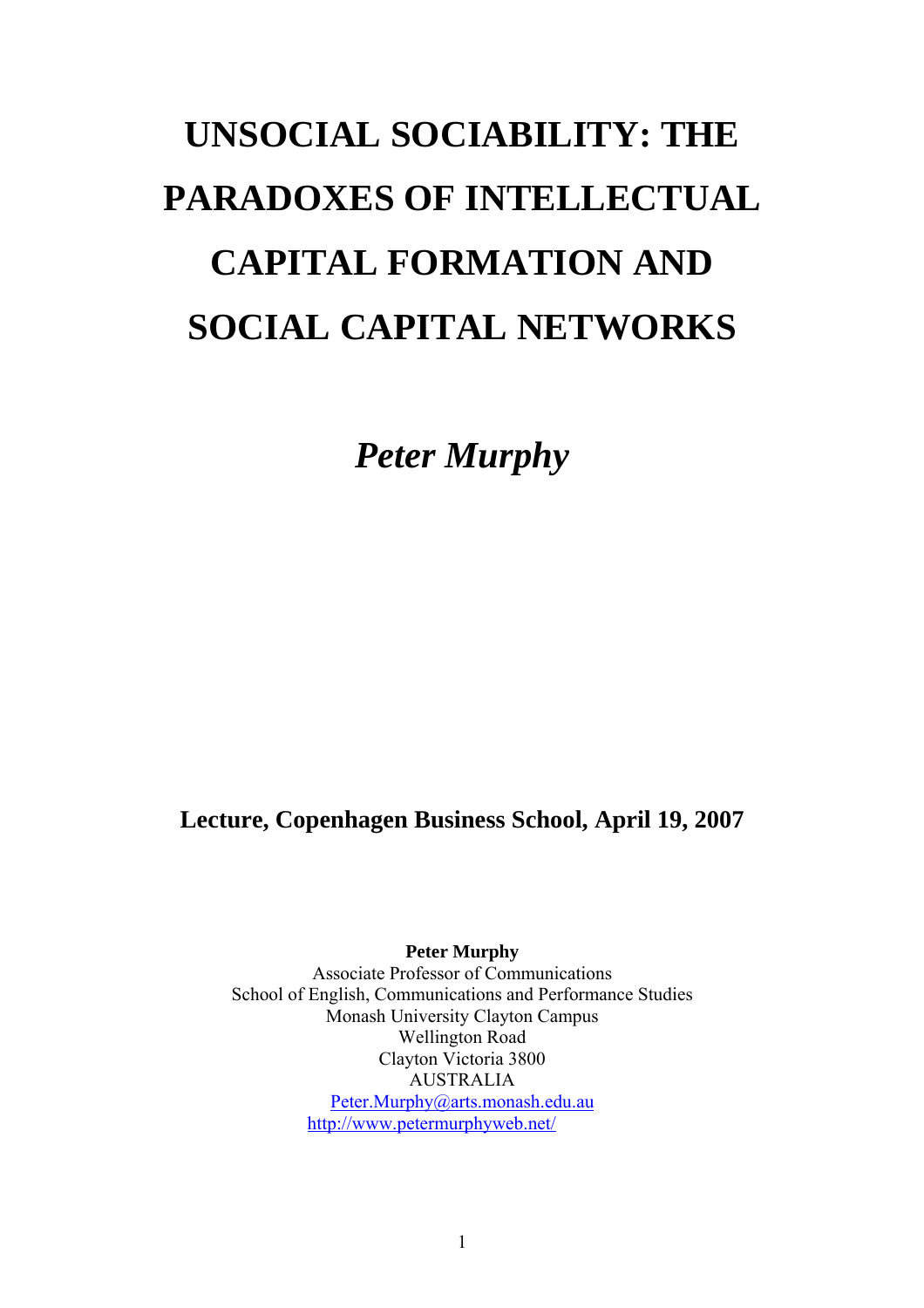# **UNSOCIAL SOCIABILITY: THE PARADOXES OF INTELLECTUAL CAPITAL FORMATION AND SOCIAL CAPITAL NETWORKS**

*Peter Murphy* 

**Lecture, Copenhagen Business School, April 19, 2007** 

**Peter Murphy** 

Associate Professor of Communications School of English, Communications and Performance Studies Monash University Clayton Campus Wellington Road Clayton Victoria 3800 AUSTRALIA [Peter.Murphy@arts.monash.edu.au](mailto:Peter.Murphy@arts.monash.edu.au) <http://www.petermurphyweb.net/>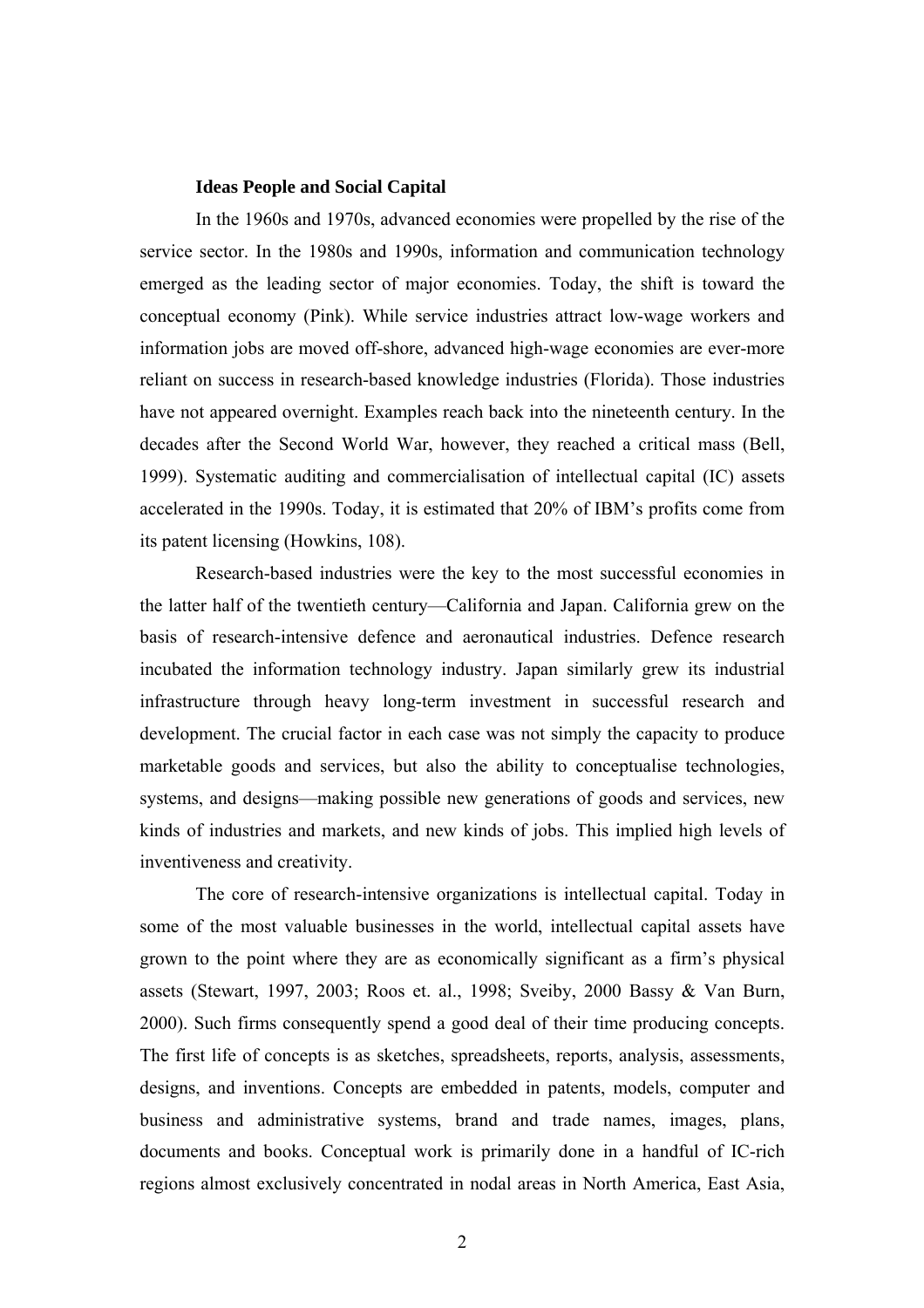# **Ideas People and Social Capital**

In the 1960s and 1970s, advanced economies were propelled by the rise of the service sector. In the 1980s and 1990s, information and communication technology emerged as the leading sector of major economies. Today, the shift is toward the conceptual economy (Pink). While service industries attract low-wage workers and information jobs are moved off-shore, advanced high-wage economies are ever-more reliant on success in research-based knowledge industries (Florida). Those industries have not appeared overnight. Examples reach back into the nineteenth century. In the decades after the Second World War, however, they reached a critical mass (Bell, 1999). Systematic auditing and commercialisation of intellectual capital (IC) assets accelerated in the 1990s. Today, it is estimated that 20% of IBM's profits come from its patent licensing (Howkins, 108).

Research-based industries were the key to the most successful economies in the latter half of the twentieth century—California and Japan. California grew on the basis of research-intensive defence and aeronautical industries. Defence research incubated the information technology industry. Japan similarly grew its industrial infrastructure through heavy long-term investment in successful research and development. The crucial factor in each case was not simply the capacity to produce marketable goods and services, but also the ability to conceptualise technologies, systems, and designs—making possible new generations of goods and services, new kinds of industries and markets, and new kinds of jobs. This implied high levels of inventiveness and creativity.

The core of research-intensive organizations is intellectual capital. Today in some of the most valuable businesses in the world, intellectual capital assets have grown to the point where they are as economically significant as a firm's physical assets (Stewart, 1997, 2003; Roos et. al., 1998; Sveiby, 2000 Bassy & Van Burn, 2000). Such firms consequently spend a good deal of their time producing concepts. The first life of concepts is as sketches, spreadsheets, reports, analysis, assessments, designs, and inventions. Concepts are embedded in patents, models, computer and business and administrative systems, brand and trade names, images, plans, documents and books. Conceptual work is primarily done in a handful of IC-rich regions almost exclusively concentrated in nodal areas in North America, East Asia,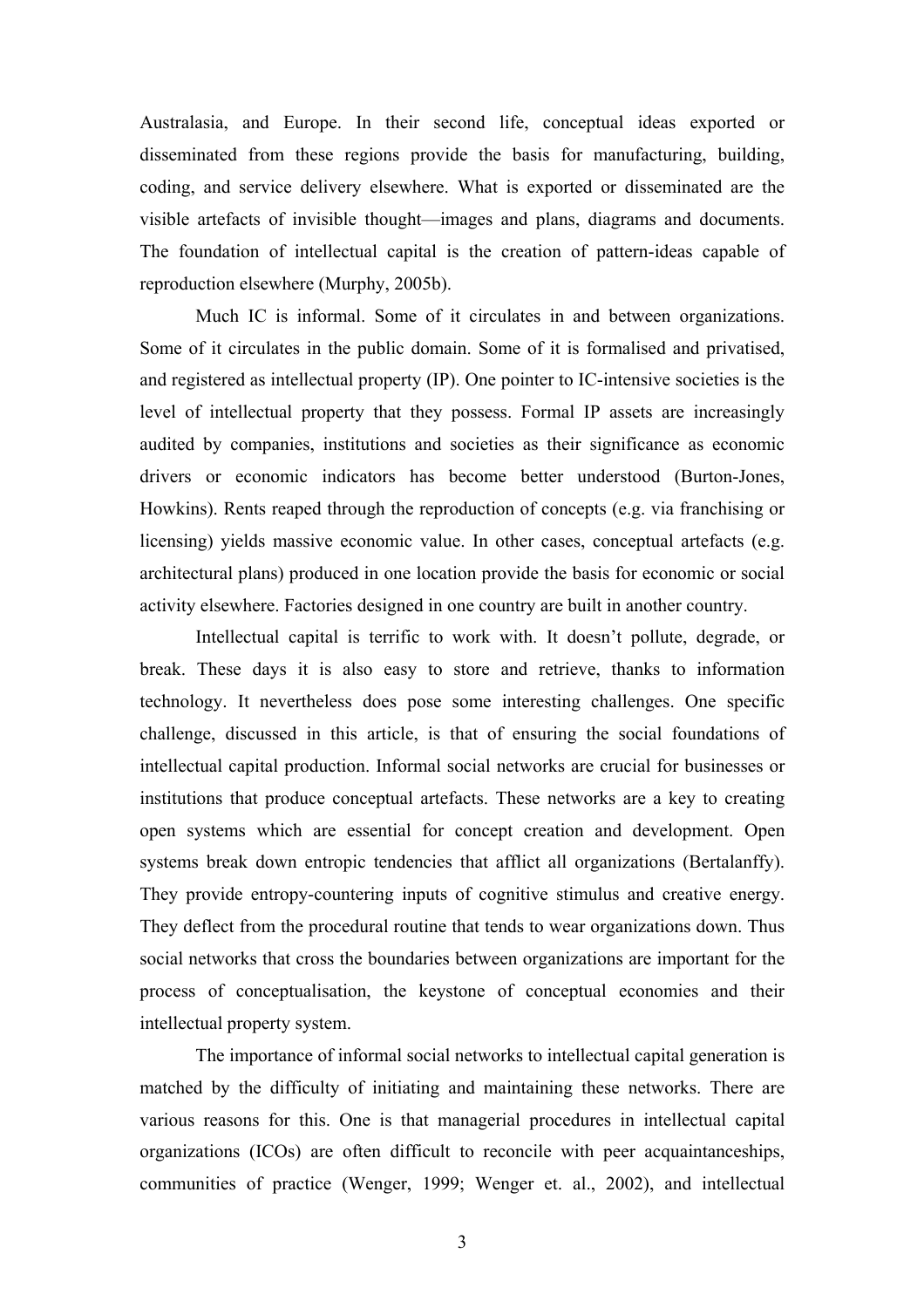Australasia, and Europe. In their second life, conceptual ideas exported or disseminated from these regions provide the basis for manufacturing, building, coding, and service delivery elsewhere. What is exported or disseminated are the visible artefacts of invisible thought—images and plans, diagrams and documents. The foundation of intellectual capital is the creation of pattern-ideas capable of reproduction elsewhere (Murphy, 2005b).

Much IC is informal. Some of it circulates in and between organizations. Some of it circulates in the public domain. Some of it is formalised and privatised, and registered as intellectual property (IP). One pointer to IC-intensive societies is the level of intellectual property that they possess. Formal IP assets are increasingly audited by companies, institutions and societies as their significance as economic drivers or economic indicators has become better understood (Burton-Jones, Howkins). Rents reaped through the reproduction of concepts (e.g. via franchising or licensing) yields massive economic value. In other cases, conceptual artefacts (e.g. architectural plans) produced in one location provide the basis for economic or social activity elsewhere. Factories designed in one country are built in another country.

Intellectual capital is terrific to work with. It doesn't pollute, degrade, or break. These days it is also easy to store and retrieve, thanks to information technology. It nevertheless does pose some interesting challenges. One specific challenge, discussed in this article, is that of ensuring the social foundations of intellectual capital production. Informal social networks are crucial for businesses or institutions that produce conceptual artefacts. These networks are a key to creating open systems which are essential for concept creation and development. Open systems break down entropic tendencies that afflict all organizations (Bertalanffy). They provide entropy-countering inputs of cognitive stimulus and creative energy. They deflect from the procedural routine that tends to wear organizations down. Thus social networks that cross the boundaries between organizations are important for the process of conceptualisation, the keystone of conceptual economies and their intellectual property system.

The importance of informal social networks to intellectual capital generation is matched by the difficulty of initiating and maintaining these networks. There are various reasons for this. One is that managerial procedures in intellectual capital organizations (ICOs) are often difficult to reconcile with peer acquaintanceships, communities of practice (Wenger, 1999; Wenger et. al., 2002), and intellectual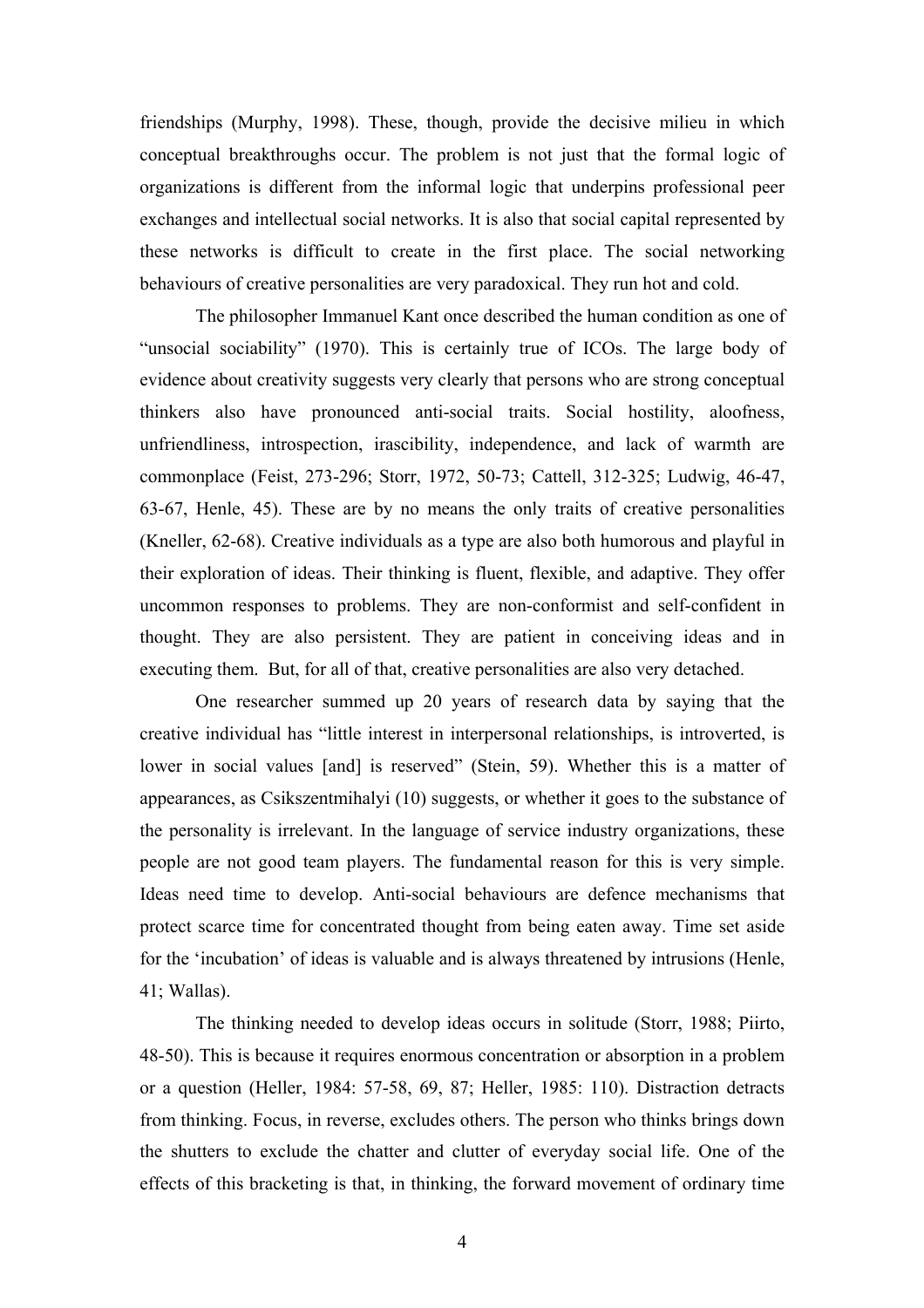friendships (Murphy, 1998). These, though, provide the decisive milieu in which conceptual breakthroughs occur. The problem is not just that the formal logic of organizations is different from the informal logic that underpins professional peer exchanges and intellectual social networks. It is also that social capital represented by these networks is difficult to create in the first place. The social networking behaviours of creative personalities are very paradoxical. They run hot and cold.

The philosopher Immanuel Kant once described the human condition as one of "unsocial sociability" (1970). This is certainly true of ICOs. The large body of evidence about creativity suggests very clearly that persons who are strong conceptual thinkers also have pronounced anti-social traits. Social hostility, aloofness, unfriendliness, introspection, irascibility, independence, and lack of warmth are commonplace (Feist, 273-296; Storr, 1972, 50-73; Cattell, 312-325; Ludwig, 46-47, 63-67, Henle, 45). These are by no means the only traits of creative personalities (Kneller, 62-68). Creative individuals as a type are also both humorous and playful in their exploration of ideas. Their thinking is fluent, flexible, and adaptive. They offer uncommon responses to problems. They are non-conformist and self-confident in thought. They are also persistent. They are patient in conceiving ideas and in executing them. But, for all of that, creative personalities are also very detached.

One researcher summed up 20 years of research data by saying that the creative individual has "little interest in interpersonal relationships, is introverted, is lower in social values [and] is reserved" (Stein, 59). Whether this is a matter of appearances, as Csikszentmihalyi (10) suggests, or whether it goes to the substance of the personality is irrelevant. In the language of service industry organizations, these people are not good team players. The fundamental reason for this is very simple. Ideas need time to develop. Anti-social behaviours are defence mechanisms that protect scarce time for concentrated thought from being eaten away. Time set aside for the 'incubation' of ideas is valuable and is always threatened by intrusions (Henle, 41; Wallas).

The thinking needed to develop ideas occurs in solitude (Storr, 1988; Piirto, 48-50). This is because it requires enormous concentration or absorption in a problem or a question (Heller, 1984: 57-58, 69, 87; Heller, 1985: 110). Distraction detracts from thinking. Focus, in reverse, excludes others. The person who thinks brings down the shutters to exclude the chatter and clutter of everyday social life. One of the effects of this bracketing is that, in thinking, the forward movement of ordinary time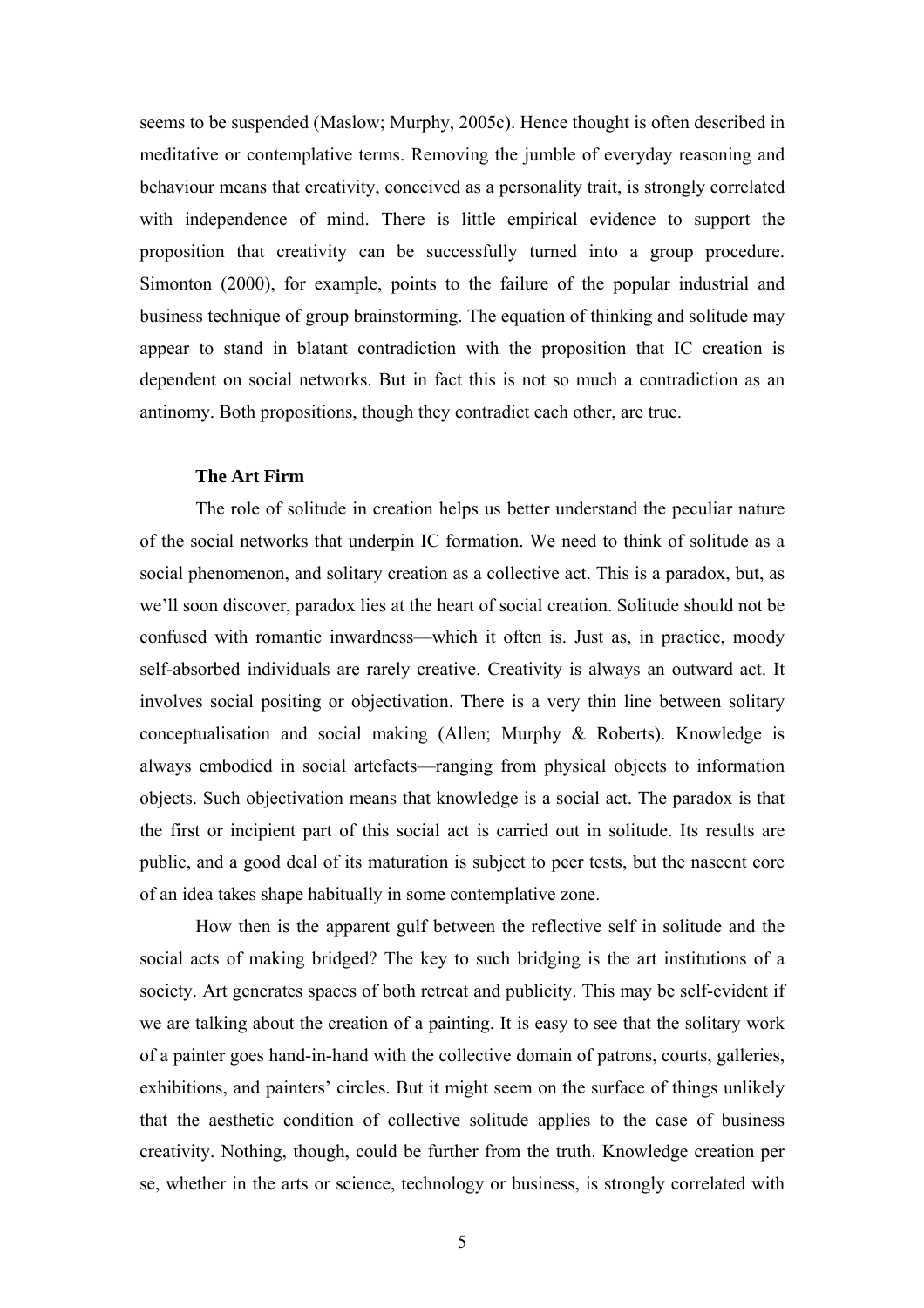seems to be suspended (Maslow; Murphy, 2005c). Hence thought is often described in meditative or contemplative terms. Removing the jumble of everyday reasoning and behaviour means that creativity, conceived as a personality trait, is strongly correlated with independence of mind. There is little empirical evidence to support the proposition that creativity can be successfully turned into a group procedure. Simonton (2000), for example, points to the failure of the popular industrial and business technique of group brainstorming. The equation of thinking and solitude may appear to stand in blatant contradiction with the proposition that IC creation is dependent on social networks. But in fact this is not so much a contradiction as an antinomy. Both propositions, though they contradict each other, are true.

## **The Art Firm**

The role of solitude in creation helps us better understand the peculiar nature of the social networks that underpin IC formation. We need to think of solitude as a social phenomenon, and solitary creation as a collective act. This is a paradox, but, as we'll soon discover, paradox lies at the heart of social creation. Solitude should not be confused with romantic inwardness—which it often is. Just as, in practice, moody self-absorbed individuals are rarely creative. Creativity is always an outward act. It involves social positing or objectivation. There is a very thin line between solitary conceptualisation and social making (Allen; Murphy & Roberts). Knowledge is always embodied in social artefacts—ranging from physical objects to information objects. Such objectivation means that knowledge is a social act. The paradox is that the first or incipient part of this social act is carried out in solitude. Its results are public, and a good deal of its maturation is subject to peer tests, but the nascent core of an idea takes shape habitually in some contemplative zone.

How then is the apparent gulf between the reflective self in solitude and the social acts of making bridged? The key to such bridging is the art institutions of a society. Art generates spaces of both retreat and publicity. This may be self-evident if we are talking about the creation of a painting. It is easy to see that the solitary work of a painter goes hand-in-hand with the collective domain of patrons, courts, galleries, exhibitions, and painters' circles. But it might seem on the surface of things unlikely that the aesthetic condition of collective solitude applies to the case of business creativity. Nothing, though, could be further from the truth. Knowledge creation per se, whether in the arts or science, technology or business, is strongly correlated with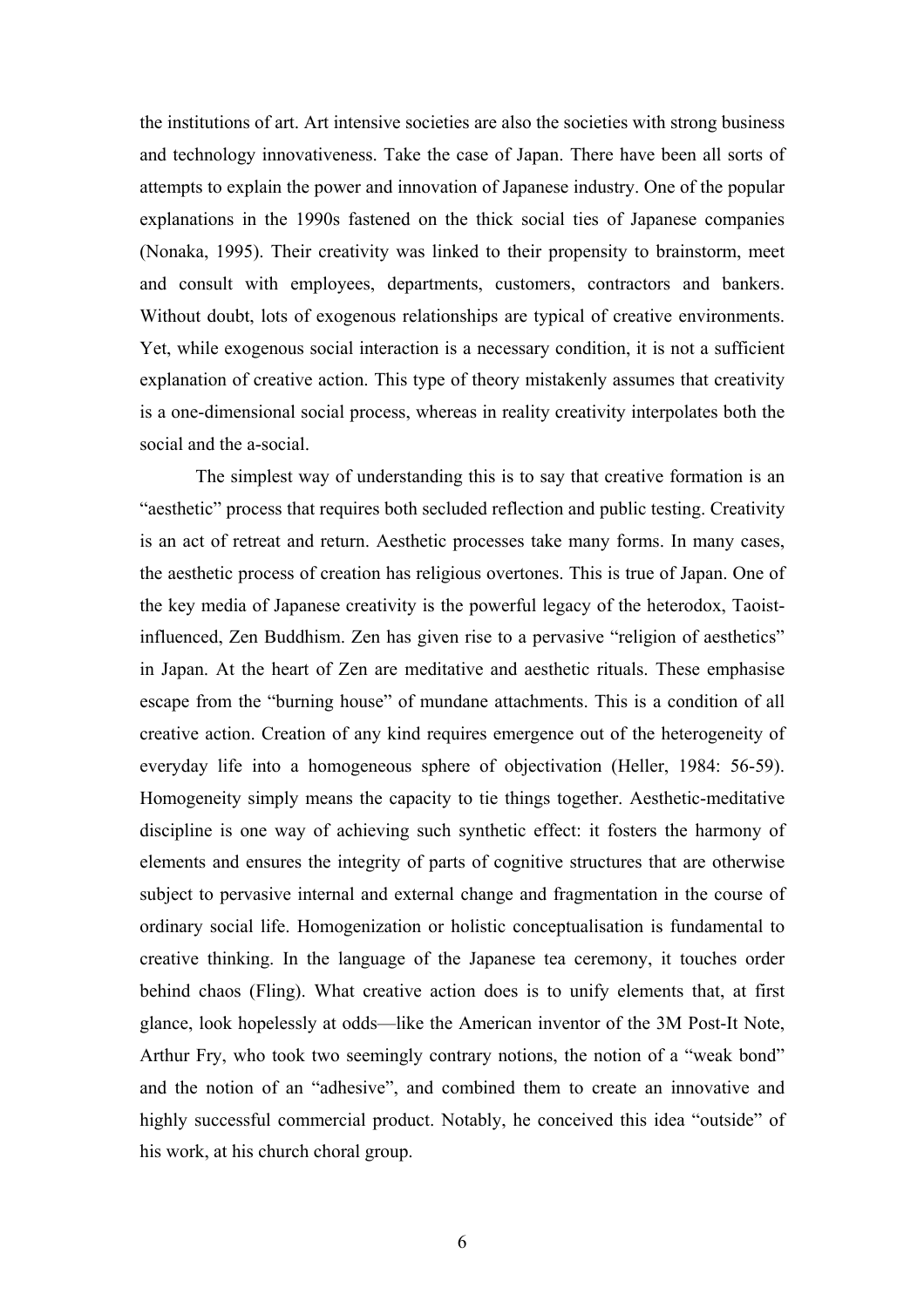the institutions of art. Art intensive societies are also the societies with strong business and technology innovativeness. Take the case of Japan. There have been all sorts of attempts to explain the power and innovation of Japanese industry. One of the popular explanations in the 1990s fastened on the thick social ties of Japanese companies (Nonaka, 1995). Their creativity was linked to their propensity to brainstorm, meet and consult with employees, departments, customers, contractors and bankers. Without doubt, lots of exogenous relationships are typical of creative environments. Yet, while exogenous social interaction is a necessary condition, it is not a sufficient explanation of creative action. This type of theory mistakenly assumes that creativity is a one-dimensional social process, whereas in reality creativity interpolates both the social and the a-social.

The simplest way of understanding this is to say that creative formation is an "aesthetic" process that requires both secluded reflection and public testing. Creativity is an act of retreat and return. Aesthetic processes take many forms. In many cases, the aesthetic process of creation has religious overtones. This is true of Japan. One of the key media of Japanese creativity is the powerful legacy of the heterodox, Taoistinfluenced, Zen Buddhism. Zen has given rise to a pervasive "religion of aesthetics" in Japan. At the heart of Zen are meditative and aesthetic rituals. These emphasise escape from the "burning house" of mundane attachments. This is a condition of all creative action. Creation of any kind requires emergence out of the heterogeneity of everyday life into a homogeneous sphere of objectivation (Heller, 1984: 56-59). Homogeneity simply means the capacity to tie things together. Aesthetic-meditative discipline is one way of achieving such synthetic effect: it fosters the harmony of elements and ensures the integrity of parts of cognitive structures that are otherwise subject to pervasive internal and external change and fragmentation in the course of ordinary social life. Homogenization or holistic conceptualisation is fundamental to creative thinking. In the language of the Japanese tea ceremony, it touches order behind chaos (Fling). What creative action does is to unify elements that, at first glance, look hopelessly at odds—like the American inventor of the 3M Post-It Note, Arthur Fry, who took two seemingly contrary notions, the notion of a "weak bond" and the notion of an "adhesive", and combined them to create an innovative and highly successful commercial product. Notably, he conceived this idea "outside" of his work, at his church choral group.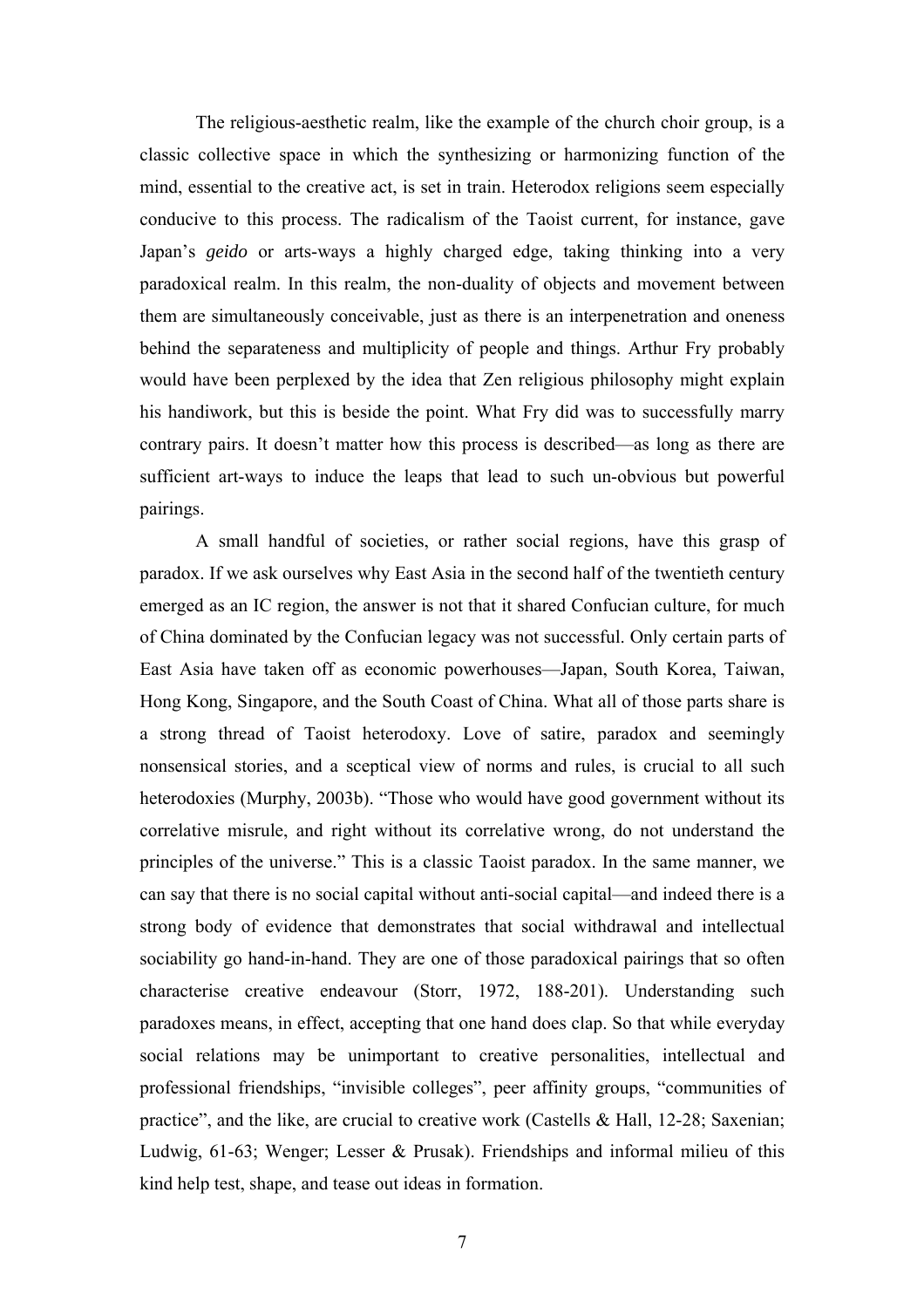The religious-aesthetic realm, like the example of the church choir group, is a classic collective space in which the synthesizing or harmonizing function of the mind, essential to the creative act, is set in train. Heterodox religions seem especially conducive to this process. The radicalism of the Taoist current, for instance, gave Japan's *geido* or arts-ways a highly charged edge, taking thinking into a very paradoxical realm. In this realm, the non-duality of objects and movement between them are simultaneously conceivable, just as there is an interpenetration and oneness behind the separateness and multiplicity of people and things. Arthur Fry probably would have been perplexed by the idea that Zen religious philosophy might explain his handiwork, but this is beside the point. What Fry did was to successfully marry contrary pairs. It doesn't matter how this process is described—as long as there are sufficient art-ways to induce the leaps that lead to such un-obvious but powerful pairings.

A small handful of societies, or rather social regions, have this grasp of paradox. If we ask ourselves why East Asia in the second half of the twentieth century emerged as an IC region, the answer is not that it shared Confucian culture, for much of China dominated by the Confucian legacy was not successful. Only certain parts of East Asia have taken off as economic powerhouses—Japan, South Korea, Taiwan, Hong Kong, Singapore, and the South Coast of China. What all of those parts share is a strong thread of Taoist heterodoxy. Love of satire, paradox and seemingly nonsensical stories, and a sceptical view of norms and rules, is crucial to all such heterodoxies (Murphy, 2003b). "Those who would have good government without its correlative misrule, and right without its correlative wrong, do not understand the principles of the universe." This is a classic Taoist paradox. In the same manner, we can say that there is no social capital without anti-social capital—and indeed there is a strong body of evidence that demonstrates that social withdrawal and intellectual sociability go hand-in-hand. They are one of those paradoxical pairings that so often characterise creative endeavour (Storr, 1972, 188-201). Understanding such paradoxes means, in effect, accepting that one hand does clap. So that while everyday social relations may be unimportant to creative personalities, intellectual and professional friendships, "invisible colleges", peer affinity groups, "communities of practice", and the like, are crucial to creative work (Castells & Hall, 12-28; Saxenian; Ludwig, 61-63; Wenger; Lesser & Prusak). Friendships and informal milieu of this kind help test, shape, and tease out ideas in formation.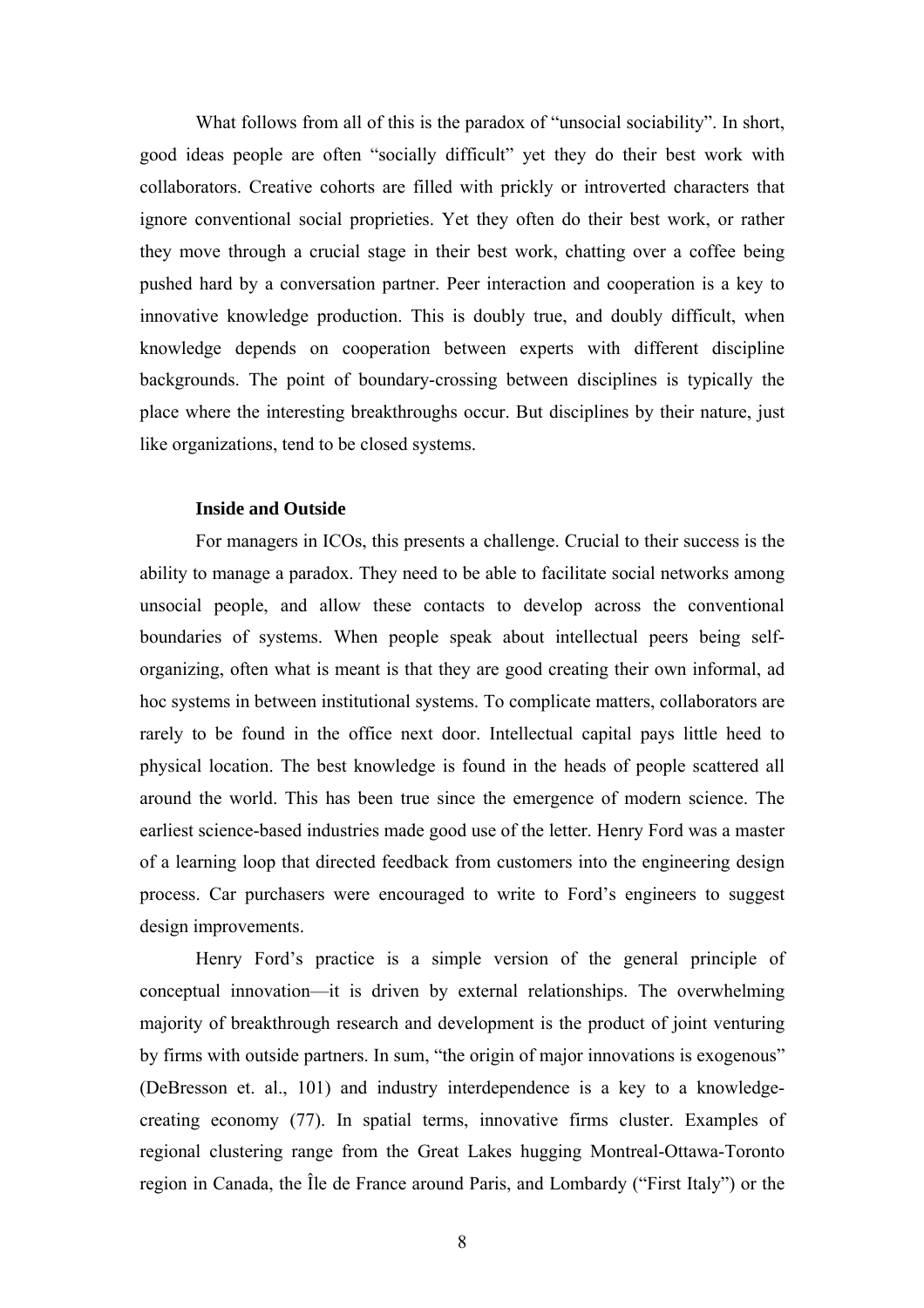What follows from all of this is the paradox of "unsocial sociability". In short, good ideas people are often "socially difficult" yet they do their best work with collaborators. Creative cohorts are filled with prickly or introverted characters that ignore conventional social proprieties. Yet they often do their best work, or rather they move through a crucial stage in their best work, chatting over a coffee being pushed hard by a conversation partner. Peer interaction and cooperation is a key to innovative knowledge production. This is doubly true, and doubly difficult, when knowledge depends on cooperation between experts with different discipline backgrounds. The point of boundary-crossing between disciplines is typically the place where the interesting breakthroughs occur. But disciplines by their nature, just like organizations, tend to be closed systems.

## **Inside and Outside**

For managers in ICOs, this presents a challenge. Crucial to their success is the ability to manage a paradox. They need to be able to facilitate social networks among unsocial people, and allow these contacts to develop across the conventional boundaries of systems. When people speak about intellectual peers being selforganizing, often what is meant is that they are good creating their own informal, ad hoc systems in between institutional systems. To complicate matters, collaborators are rarely to be found in the office next door. Intellectual capital pays little heed to physical location. The best knowledge is found in the heads of people scattered all around the world. This has been true since the emergence of modern science. The earliest science-based industries made good use of the letter. Henry Ford was a master of a learning loop that directed feedback from customers into the engineering design process. Car purchasers were encouraged to write to Ford's engineers to suggest design improvements.

Henry Ford's practice is a simple version of the general principle of conceptual innovation—it is driven by external relationships. The overwhelming majority of breakthrough research and development is the product of joint venturing by firms with outside partners. In sum, "the origin of major innovations is exogenous" (DeBresson et. al., 101) and industry interdependence is a key to a knowledgecreating economy (77). In spatial terms, innovative firms cluster. Examples of regional clustering range from the Great Lakes hugging Montreal-Ottawa-Toronto region in Canada, the Île de France around Paris, and Lombardy ("First Italy") or the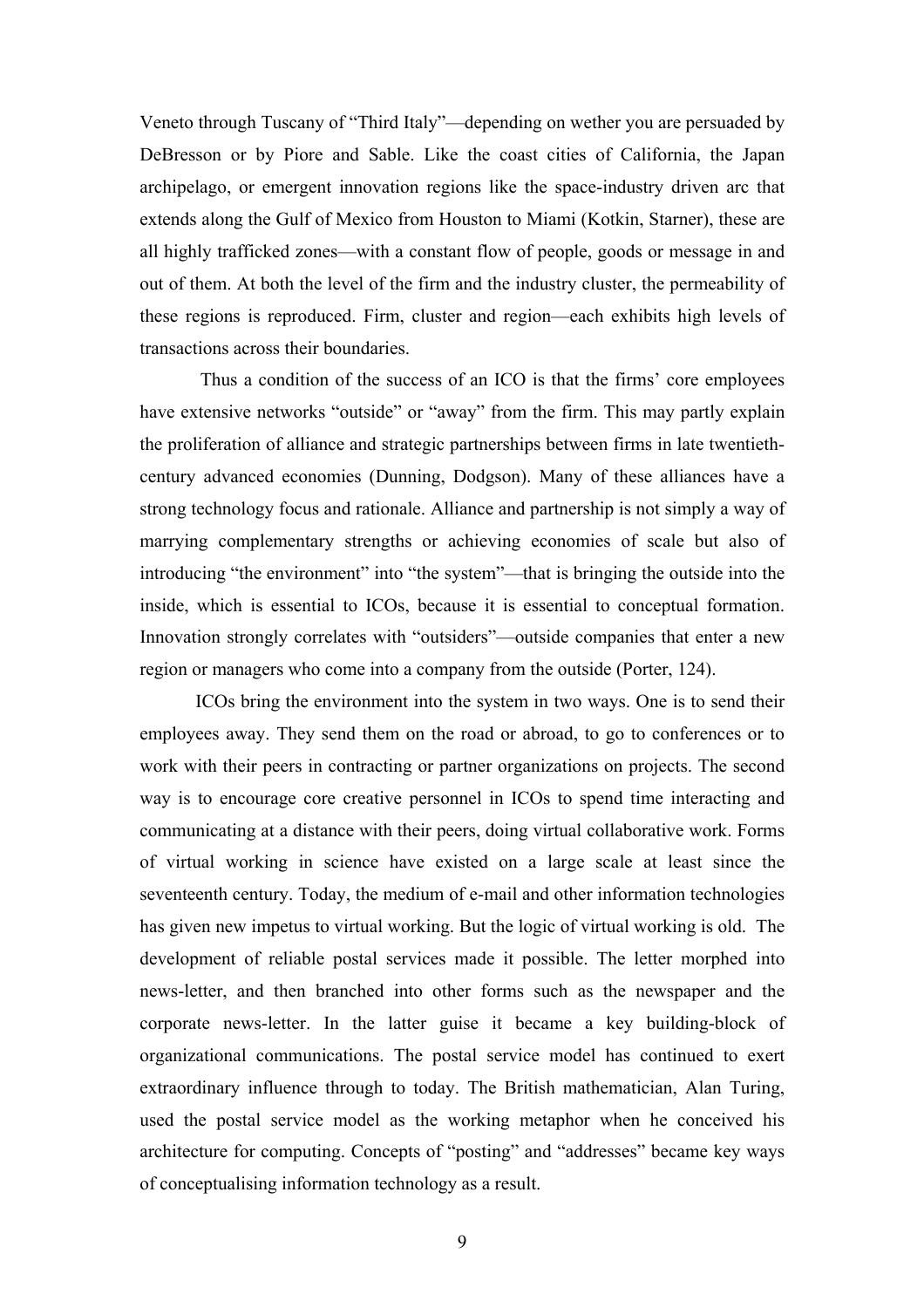Veneto through Tuscany of "Third Italy"—depending on wether you are persuaded by DeBresson or by Piore and Sable. Like the coast cities of California, the Japan archipelago, or emergent innovation regions like the space-industry driven arc that extends along the Gulf of Mexico from Houston to Miami (Kotkin, Starner), these are all highly trafficked zones—with a constant flow of people, goods or message in and out of them. At both the level of the firm and the industry cluster, the permeability of these regions is reproduced. Firm, cluster and region—each exhibits high levels of transactions across their boundaries.

Thus a condition of the success of an ICO is that the firms' core employees have extensive networks "outside" or "away" from the firm. This may partly explain the proliferation of alliance and strategic partnerships between firms in late twentiethcentury advanced economies (Dunning, Dodgson). Many of these alliances have a strong technology focus and rationale. Alliance and partnership is not simply a way of marrying complementary strengths or achieving economies of scale but also of introducing "the environment" into "the system"—that is bringing the outside into the inside, which is essential to ICOs, because it is essential to conceptual formation. Innovation strongly correlates with "outsiders"—outside companies that enter a new region or managers who come into a company from the outside (Porter, 124).

ICOs bring the environment into the system in two ways. One is to send their employees away. They send them on the road or abroad, to go to conferences or to work with their peers in contracting or partner organizations on projects. The second way is to encourage core creative personnel in ICOs to spend time interacting and communicating at a distance with their peers, doing virtual collaborative work. Forms of virtual working in science have existed on a large scale at least since the seventeenth century. Today, the medium of e-mail and other information technologies has given new impetus to virtual working. But the logic of virtual working is old. The development of reliable postal services made it possible. The letter morphed into news-letter, and then branched into other forms such as the newspaper and the corporate news-letter. In the latter guise it became a key building-block of organizational communications. The postal service model has continued to exert extraordinary influence through to today. The British mathematician, Alan Turing, used the postal service model as the working metaphor when he conceived his architecture for computing. Concepts of "posting" and "addresses" became key ways of conceptualising information technology as a result.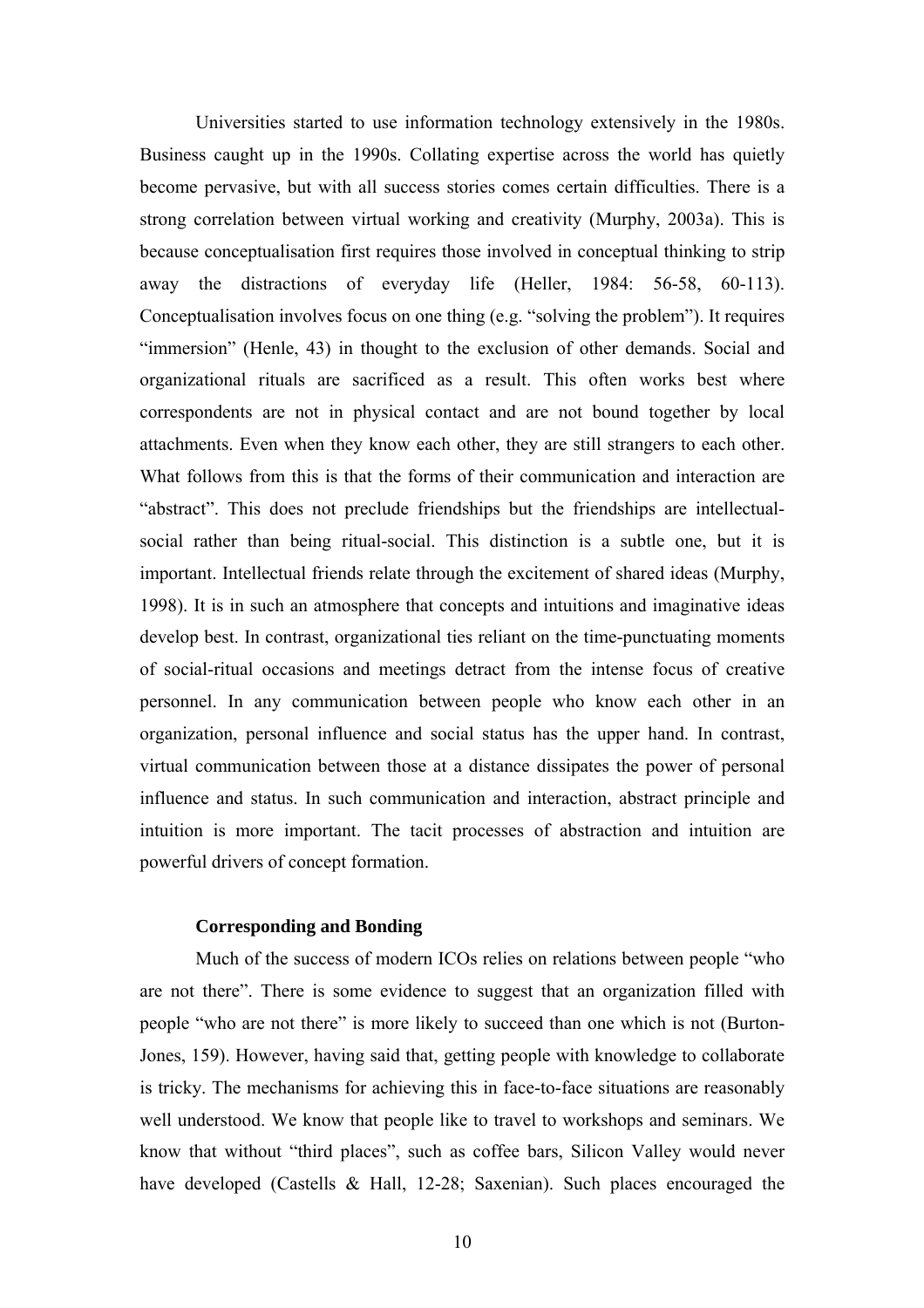Universities started to use information technology extensively in the 1980s. Business caught up in the 1990s. Collating expertise across the world has quietly become pervasive, but with all success stories comes certain difficulties. There is a strong correlation between virtual working and creativity (Murphy, 2003a). This is because conceptualisation first requires those involved in conceptual thinking to strip away the distractions of everyday life (Heller, 1984: 56-58, 60-113). Conceptualisation involves focus on one thing (e.g. "solving the problem"). It requires "immersion" (Henle, 43) in thought to the exclusion of other demands. Social and organizational rituals are sacrificed as a result. This often works best where correspondents are not in physical contact and are not bound together by local attachments. Even when they know each other, they are still strangers to each other. What follows from this is that the forms of their communication and interaction are "abstract". This does not preclude friendships but the friendships are intellectualsocial rather than being ritual-social. This distinction is a subtle one, but it is important. Intellectual friends relate through the excitement of shared ideas (Murphy, 1998). It is in such an atmosphere that concepts and intuitions and imaginative ideas develop best. In contrast, organizational ties reliant on the time-punctuating moments of social-ritual occasions and meetings detract from the intense focus of creative personnel. In any communication between people who know each other in an organization, personal influence and social status has the upper hand. In contrast, virtual communication between those at a distance dissipates the power of personal influence and status. In such communication and interaction, abstract principle and intuition is more important. The tacit processes of abstraction and intuition are powerful drivers of concept formation.

# **Corresponding and Bonding**

Much of the success of modern ICOs relies on relations between people "who are not there". There is some evidence to suggest that an organization filled with people "who are not there" is more likely to succeed than one which is not (Burton-Jones, 159). However, having said that, getting people with knowledge to collaborate is tricky. The mechanisms for achieving this in face-to-face situations are reasonably well understood. We know that people like to travel to workshops and seminars. We know that without "third places", such as coffee bars, Silicon Valley would never have developed (Castells & Hall, 12-28; Saxenian). Such places encouraged the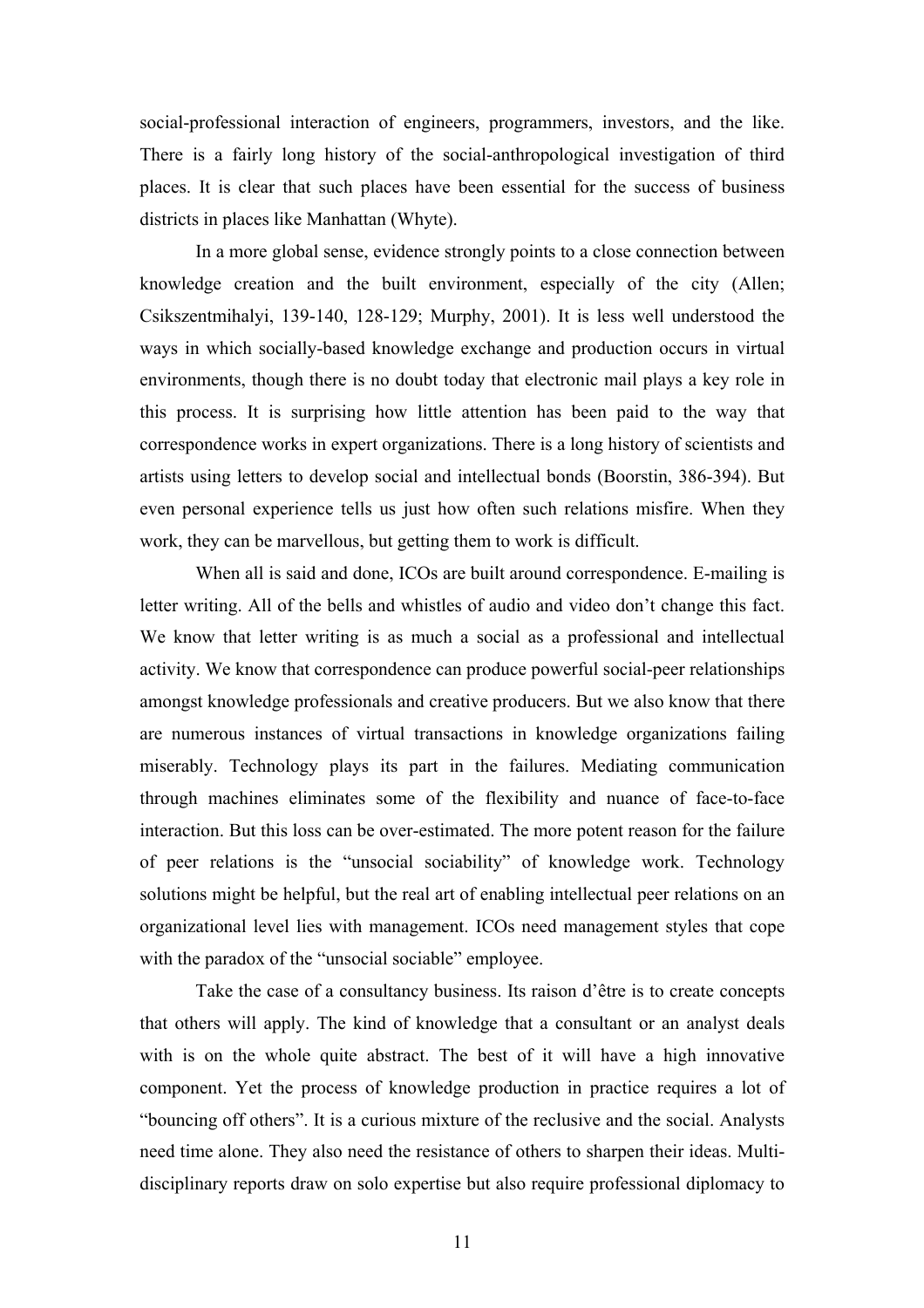social-professional interaction of engineers, programmers, investors, and the like. There is a fairly long history of the social-anthropological investigation of third places. It is clear that such places have been essential for the success of business districts in places like Manhattan (Whyte).

In a more global sense, evidence strongly points to a close connection between knowledge creation and the built environment, especially of the city (Allen; Csikszentmihalyi, 139-140, 128-129; Murphy, 2001). It is less well understood the ways in which socially-based knowledge exchange and production occurs in virtual environments, though there is no doubt today that electronic mail plays a key role in this process. It is surprising how little attention has been paid to the way that correspondence works in expert organizations. There is a long history of scientists and artists using letters to develop social and intellectual bonds (Boorstin, 386-394). But even personal experience tells us just how often such relations misfire. When they work, they can be marvellous, but getting them to work is difficult.

When all is said and done, ICOs are built around correspondence. E-mailing is letter writing. All of the bells and whistles of audio and video don't change this fact. We know that letter writing is as much a social as a professional and intellectual activity. We know that correspondence can produce powerful social-peer relationships amongst knowledge professionals and creative producers. But we also know that there are numerous instances of virtual transactions in knowledge organizations failing miserably. Technology plays its part in the failures. Mediating communication through machines eliminates some of the flexibility and nuance of face-to-face interaction. But this loss can be over-estimated. The more potent reason for the failure of peer relations is the "unsocial sociability" of knowledge work. Technology solutions might be helpful, but the real art of enabling intellectual peer relations on an organizational level lies with management. ICOs need management styles that cope with the paradox of the "unsocial sociable" employee.

Take the case of a consultancy business. Its raison d'être is to create concepts that others will apply. The kind of knowledge that a consultant or an analyst deals with is on the whole quite abstract. The best of it will have a high innovative component. Yet the process of knowledge production in practice requires a lot of "bouncing off others". It is a curious mixture of the reclusive and the social. Analysts need time alone. They also need the resistance of others to sharpen their ideas. Multidisciplinary reports draw on solo expertise but also require professional diplomacy to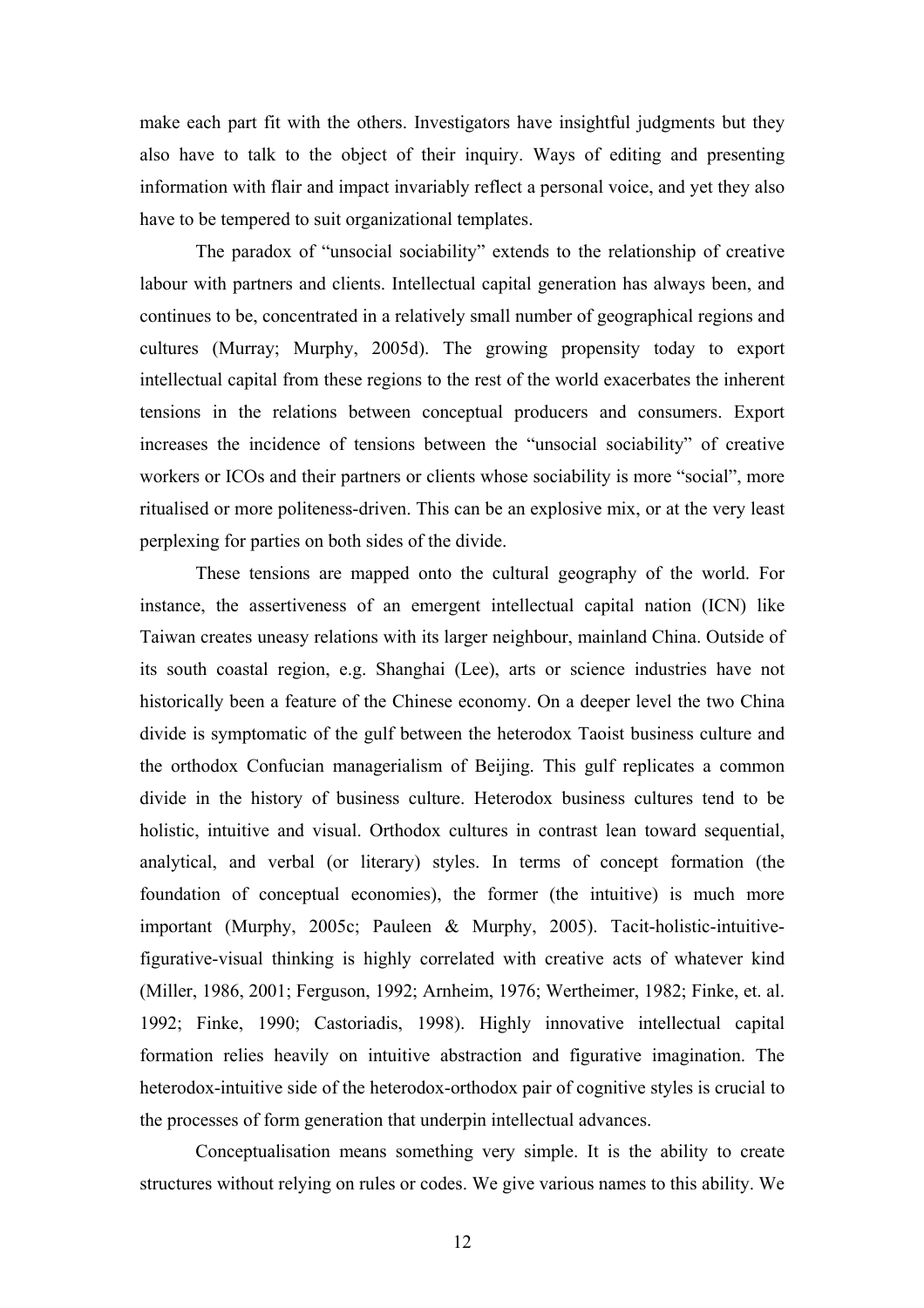make each part fit with the others. Investigators have insightful judgments but they also have to talk to the object of their inquiry. Ways of editing and presenting information with flair and impact invariably reflect a personal voice, and yet they also have to be tempered to suit organizational templates.

The paradox of "unsocial sociability" extends to the relationship of creative labour with partners and clients. Intellectual capital generation has always been, and continues to be, concentrated in a relatively small number of geographical regions and cultures (Murray; Murphy, 2005d). The growing propensity today to export intellectual capital from these regions to the rest of the world exacerbates the inherent tensions in the relations between conceptual producers and consumers. Export increases the incidence of tensions between the "unsocial sociability" of creative workers or ICOs and their partners or clients whose sociability is more "social", more ritualised or more politeness-driven. This can be an explosive mix, or at the very least perplexing for parties on both sides of the divide.

These tensions are mapped onto the cultural geography of the world. For instance, the assertiveness of an emergent intellectual capital nation (ICN) like Taiwan creates uneasy relations with its larger neighbour, mainland China. Outside of its south coastal region, e.g. Shanghai (Lee), arts or science industries have not historically been a feature of the Chinese economy. On a deeper level the two China divide is symptomatic of the gulf between the heterodox Taoist business culture and the orthodox Confucian managerialism of Beijing. This gulf replicates a common divide in the history of business culture. Heterodox business cultures tend to be holistic, intuitive and visual. Orthodox cultures in contrast lean toward sequential, analytical, and verbal (or literary) styles. In terms of concept formation (the foundation of conceptual economies), the former (the intuitive) is much more important (Murphy, 2005c; Pauleen & Murphy, 2005). Tacit-holistic-intuitivefigurative-visual thinking is highly correlated with creative acts of whatever kind (Miller, 1986, 2001; Ferguson, 1992; Arnheim, 1976; Wertheimer, 1982; Finke, et. al. 1992; Finke, 1990; Castoriadis, 1998). Highly innovative intellectual capital formation relies heavily on intuitive abstraction and figurative imagination. The heterodox-intuitive side of the heterodox-orthodox pair of cognitive styles is crucial to the processes of form generation that underpin intellectual advances.

Conceptualisation means something very simple. It is the ability to create structures without relying on rules or codes. We give various names to this ability. We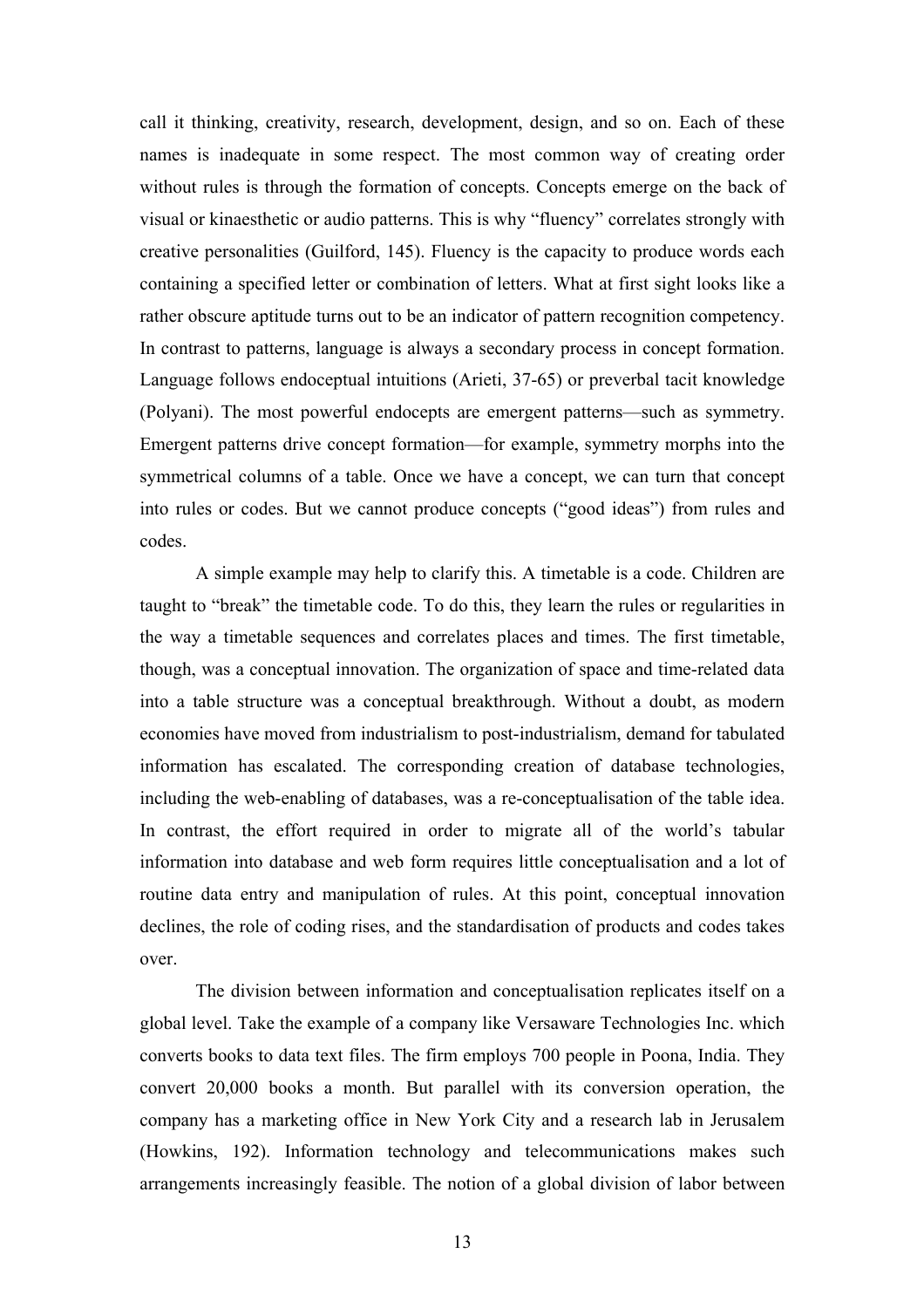call it thinking, creativity, research, development, design, and so on. Each of these names is inadequate in some respect. The most common way of creating order without rules is through the formation of concepts. Concepts emerge on the back of visual or kinaesthetic or audio patterns. This is why "fluency" correlates strongly with creative personalities (Guilford, 145). Fluency is the capacity to produce words each containing a specified letter or combination of letters. What at first sight looks like a rather obscure aptitude turns out to be an indicator of pattern recognition competency. In contrast to patterns, language is always a secondary process in concept formation. Language follows endoceptual intuitions (Arieti, 37-65) or preverbal tacit knowledge (Polyani). The most powerful endocepts are emergent patterns—such as symmetry. Emergent patterns drive concept formation—for example, symmetry morphs into the symmetrical columns of a table. Once we have a concept, we can turn that concept into rules or codes. But we cannot produce concepts ("good ideas") from rules and codes.

A simple example may help to clarify this. A timetable is a code. Children are taught to "break" the timetable code. To do this, they learn the rules or regularities in the way a timetable sequences and correlates places and times. The first timetable, though, was a conceptual innovation. The organization of space and time-related data into a table structure was a conceptual breakthrough. Without a doubt, as modern economies have moved from industrialism to post-industrialism, demand for tabulated information has escalated. The corresponding creation of database technologies, including the web-enabling of databases, was a re-conceptualisation of the table idea. In contrast, the effort required in order to migrate all of the world's tabular information into database and web form requires little conceptualisation and a lot of routine data entry and manipulation of rules. At this point, conceptual innovation declines, the role of coding rises, and the standardisation of products and codes takes over.

The division between information and conceptualisation replicates itself on a global level. Take the example of a company like Versaware Technologies Inc. which converts books to data text files. The firm employs 700 people in Poona, India. They convert 20,000 books a month. But parallel with its conversion operation, the company has a marketing office in New York City and a research lab in Jerusalem (Howkins, 192). Information technology and telecommunications makes such arrangements increasingly feasible. The notion of a global division of labor between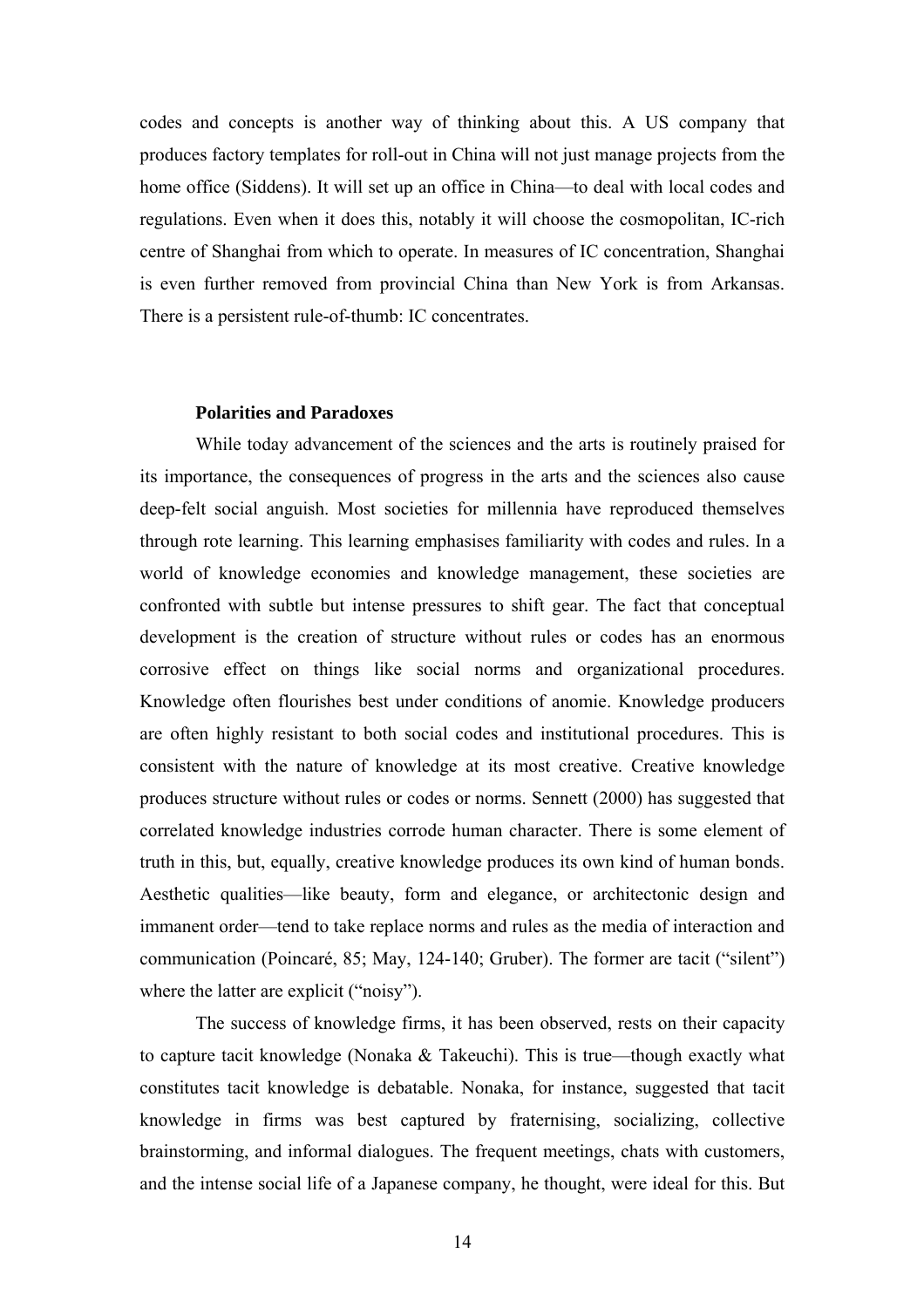codes and concepts is another way of thinking about this. A US company that produces factory templates for roll-out in China will not just manage projects from the home office (Siddens). It will set up an office in China—to deal with local codes and regulations. Even when it does this, notably it will choose the cosmopolitan, IC-rich centre of Shanghai from which to operate. In measures of IC concentration, Shanghai is even further removed from provincial China than New York is from Arkansas. There is a persistent rule-of-thumb: IC concentrates.

## **Polarities and Paradoxes**

While today advancement of the sciences and the arts is routinely praised for its importance, the consequences of progress in the arts and the sciences also cause deep-felt social anguish. Most societies for millennia have reproduced themselves through rote learning. This learning emphasises familiarity with codes and rules. In a world of knowledge economies and knowledge management, these societies are confronted with subtle but intense pressures to shift gear. The fact that conceptual development is the creation of structure without rules or codes has an enormous corrosive effect on things like social norms and organizational procedures. Knowledge often flourishes best under conditions of anomie. Knowledge producers are often highly resistant to both social codes and institutional procedures. This is consistent with the nature of knowledge at its most creative. Creative knowledge produces structure without rules or codes or norms. Sennett (2000) has suggested that correlated knowledge industries corrode human character. There is some element of truth in this, but, equally, creative knowledge produces its own kind of human bonds. Aesthetic qualities—like beauty, form and elegance, or architectonic design and immanent order—tend to take replace norms and rules as the media of interaction and communication (Poincaré, 85; May, 124-140; Gruber). The former are tacit ("silent") where the latter are explicit ("noisy").

The success of knowledge firms, it has been observed, rests on their capacity to capture tacit knowledge (Nonaka & Takeuchi). This is true—though exactly what constitutes tacit knowledge is debatable. Nonaka, for instance, suggested that tacit knowledge in firms was best captured by fraternising, socializing, collective brainstorming, and informal dialogues. The frequent meetings, chats with customers, and the intense social life of a Japanese company, he thought, were ideal for this. But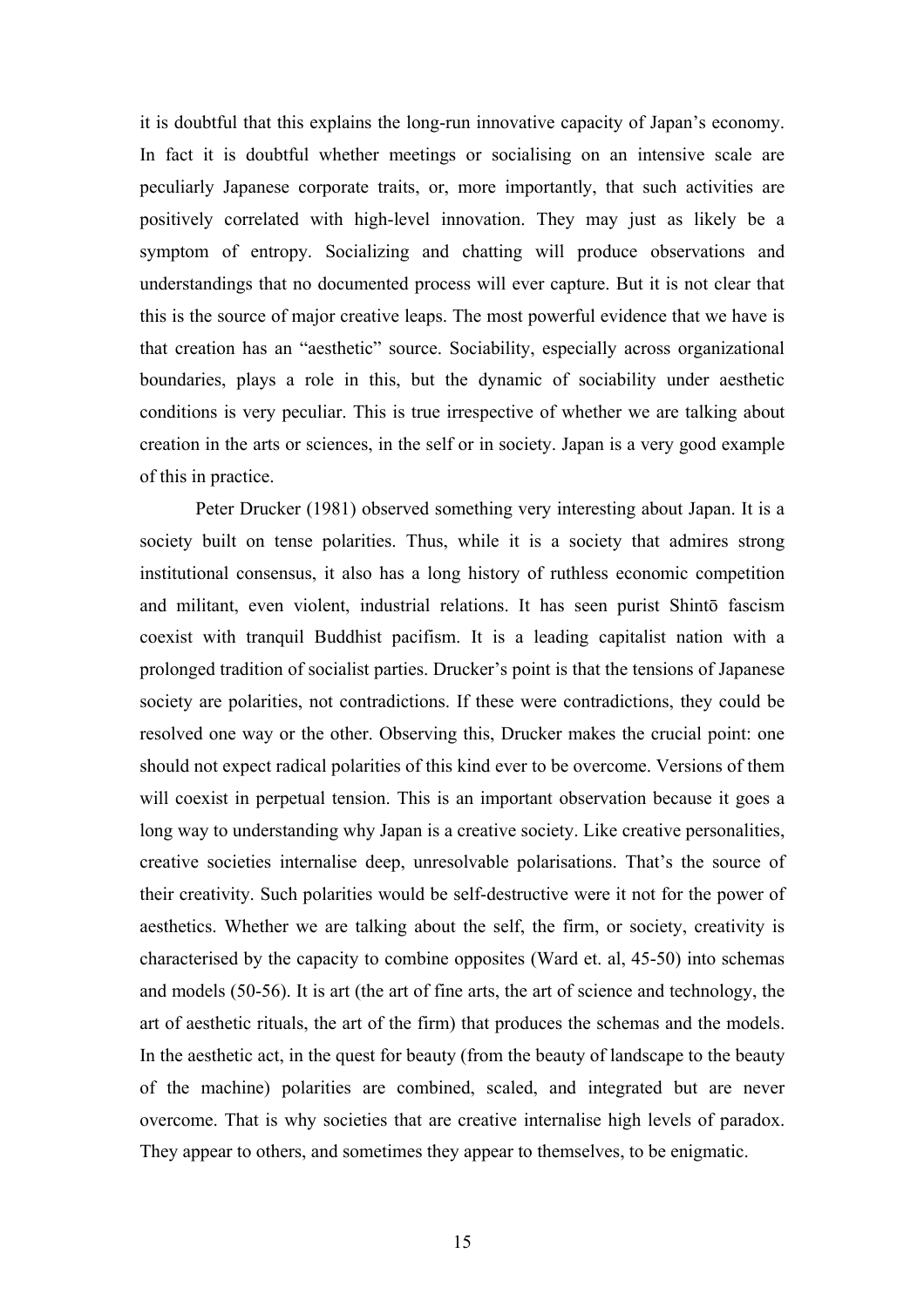it is doubtful that this explains the long-run innovative capacity of Japan's economy. In fact it is doubtful whether meetings or socialising on an intensive scale are peculiarly Japanese corporate traits, or, more importantly, that such activities are positively correlated with high-level innovation. They may just as likely be a symptom of entropy. Socializing and chatting will produce observations and understandings that no documented process will ever capture. But it is not clear that this is the source of major creative leaps. The most powerful evidence that we have is that creation has an "aesthetic" source. Sociability, especially across organizational boundaries, plays a role in this, but the dynamic of sociability under aesthetic conditions is very peculiar. This is true irrespective of whether we are talking about creation in the arts or sciences, in the self or in society. Japan is a very good example of this in practice.

Peter Drucker (1981) observed something very interesting about Japan. It is a society built on tense polarities. Thus, while it is a society that admires strong institutional consensus, it also has a long history of ruthless economic competition and militant, even violent, industrial relations. It has seen purist Shintō fascism coexist with tranquil Buddhist pacifism. It is a leading capitalist nation with a prolonged tradition of socialist parties. Drucker's point is that the tensions of Japanese society are polarities, not contradictions. If these were contradictions, they could be resolved one way or the other. Observing this, Drucker makes the crucial point: one should not expect radical polarities of this kind ever to be overcome. Versions of them will coexist in perpetual tension. This is an important observation because it goes a long way to understanding why Japan is a creative society. Like creative personalities, creative societies internalise deep, unresolvable polarisations. That's the source of their creativity. Such polarities would be self-destructive were it not for the power of aesthetics. Whether we are talking about the self, the firm, or society, creativity is characterised by the capacity to combine opposites (Ward et. al, 45-50) into schemas and models (50-56). It is art (the art of fine arts, the art of science and technology, the art of aesthetic rituals, the art of the firm) that produces the schemas and the models. In the aesthetic act, in the quest for beauty (from the beauty of landscape to the beauty of the machine) polarities are combined, scaled, and integrated but are never overcome. That is why societies that are creative internalise high levels of paradox. They appear to others, and sometimes they appear to themselves, to be enigmatic.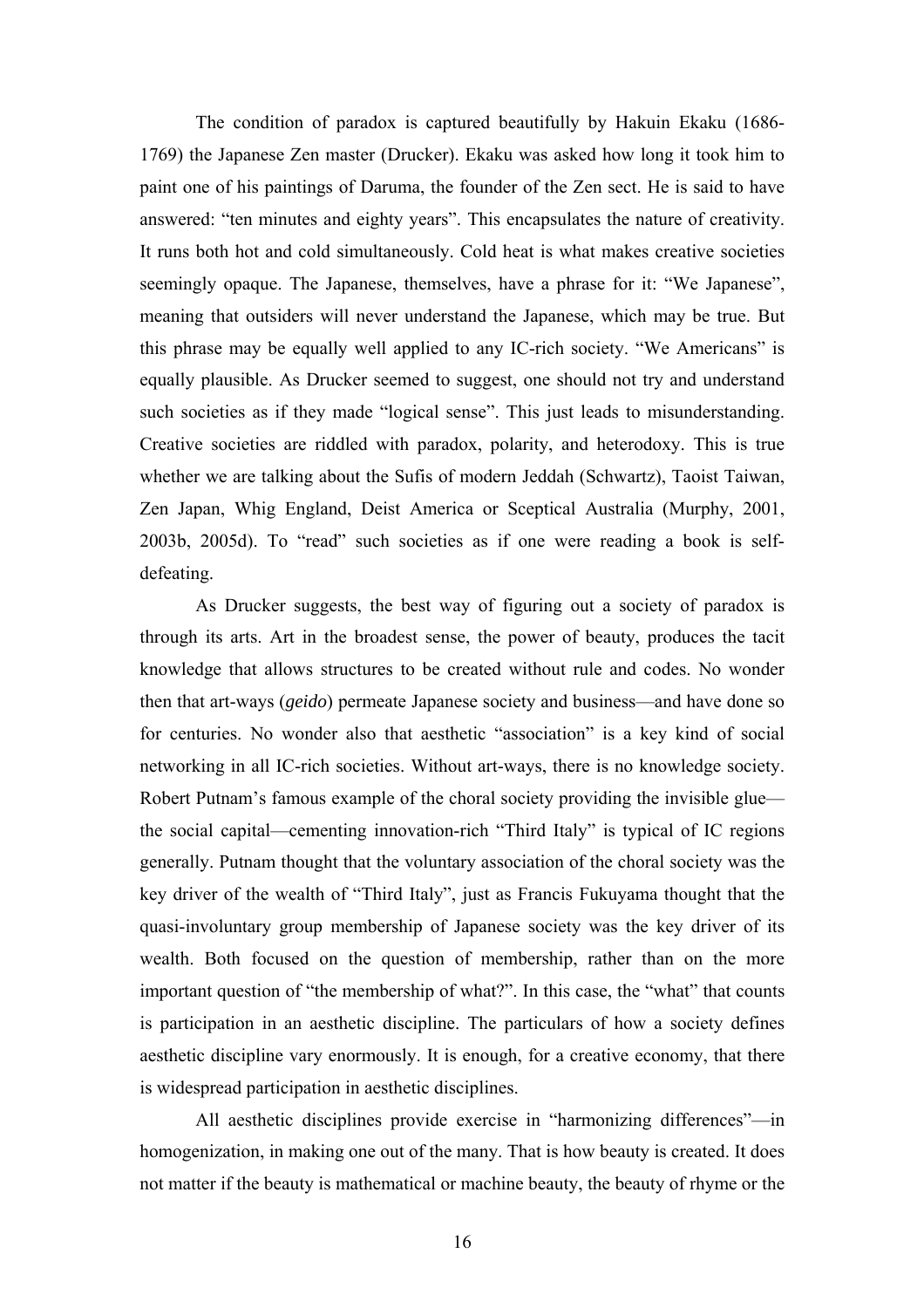The condition of paradox is captured beautifully by Hakuin Ekaku (1686- 1769) the Japanese Zen master (Drucker). Ekaku was asked how long it took him to paint one of his paintings of Daruma, the founder of the Zen sect. He is said to have answered: "ten minutes and eighty years". This encapsulates the nature of creativity. It runs both hot and cold simultaneously. Cold heat is what makes creative societies seemingly opaque. The Japanese, themselves, have a phrase for it: "We Japanese", meaning that outsiders will never understand the Japanese, which may be true. But this phrase may be equally well applied to any IC-rich society. "We Americans" is equally plausible. As Drucker seemed to suggest, one should not try and understand such societies as if they made "logical sense". This just leads to misunderstanding. Creative societies are riddled with paradox, polarity, and heterodoxy. This is true whether we are talking about the Sufis of modern Jeddah (Schwartz), Taoist Taiwan, Zen Japan, Whig England, Deist America or Sceptical Australia (Murphy, 2001, 2003b, 2005d). To "read" such societies as if one were reading a book is selfdefeating.

As Drucker suggests, the best way of figuring out a society of paradox is through its arts. Art in the broadest sense, the power of beauty, produces the tacit knowledge that allows structures to be created without rule and codes. No wonder then that art-ways (*geido*) permeate Japanese society and business—and have done so for centuries. No wonder also that aesthetic "association" is a key kind of social networking in all IC-rich societies. Without art-ways, there is no knowledge society. Robert Putnam's famous example of the choral society providing the invisible glue the social capital—cementing innovation-rich "Third Italy" is typical of IC regions generally. Putnam thought that the voluntary association of the choral society was the key driver of the wealth of "Third Italy", just as Francis Fukuyama thought that the quasi-involuntary group membership of Japanese society was the key driver of its wealth. Both focused on the question of membership, rather than on the more important question of "the membership of what?". In this case, the "what" that counts is participation in an aesthetic discipline. The particulars of how a society defines aesthetic discipline vary enormously. It is enough, for a creative economy, that there is widespread participation in aesthetic disciplines.

All aesthetic disciplines provide exercise in "harmonizing differences"—in homogenization, in making one out of the many. That is how beauty is created. It does not matter if the beauty is mathematical or machine beauty, the beauty of rhyme or the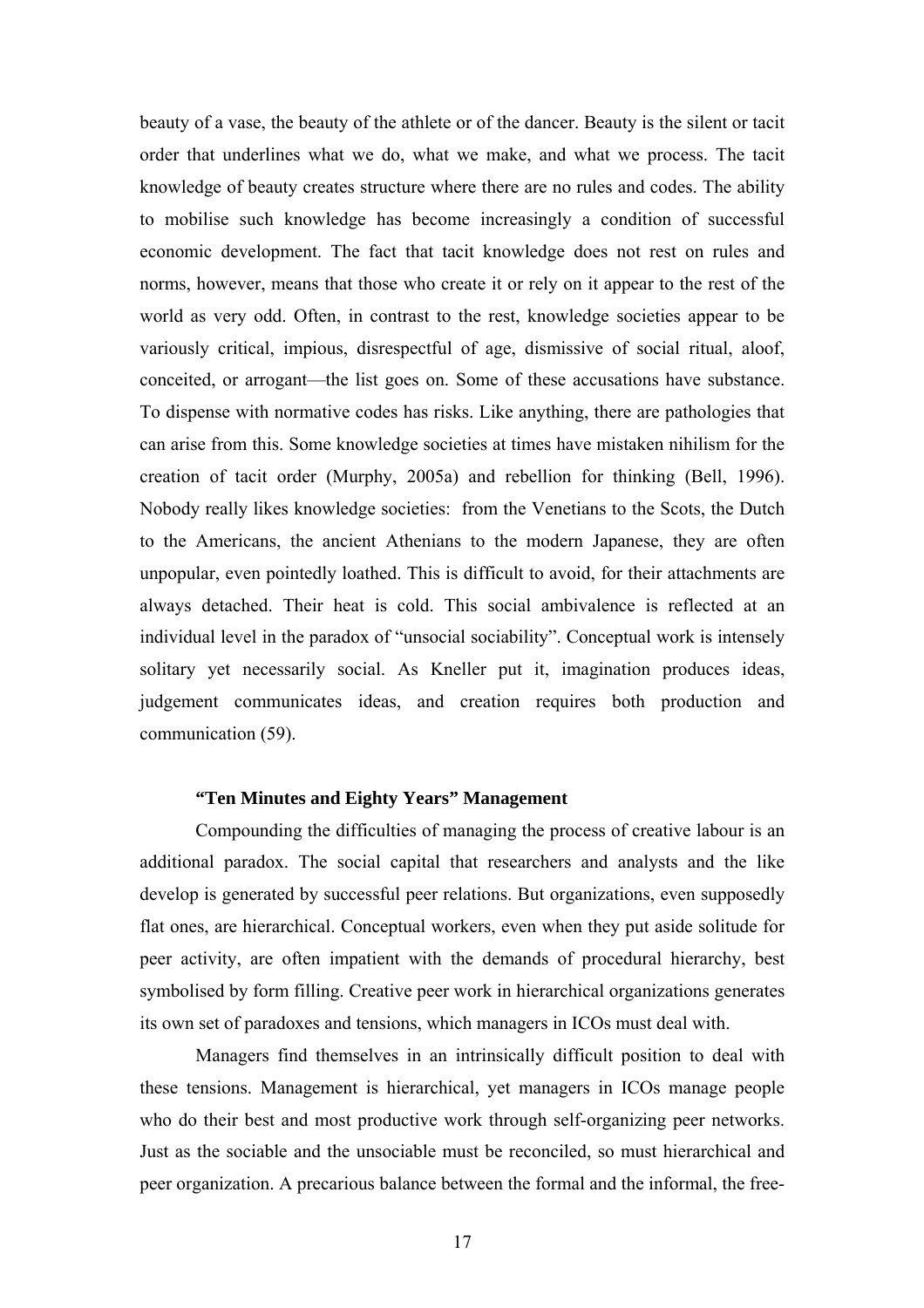beauty of a vase, the beauty of the athlete or of the dancer. Beauty is the silent or tacit order that underlines what we do, what we make, and what we process. The tacit knowledge of beauty creates structure where there are no rules and codes. The ability to mobilise such knowledge has become increasingly a condition of successful economic development. The fact that tacit knowledge does not rest on rules and norms, however, means that those who create it or rely on it appear to the rest of the world as very odd. Often, in contrast to the rest, knowledge societies appear to be variously critical, impious, disrespectful of age, dismissive of social ritual, aloof, conceited, or arrogant—the list goes on. Some of these accusations have substance. To dispense with normative codes has risks. Like anything, there are pathologies that can arise from this. Some knowledge societies at times have mistaken nihilism for the creation of tacit order (Murphy, 2005a) and rebellion for thinking (Bell, 1996). Nobody really likes knowledge societies: from the Venetians to the Scots, the Dutch to the Americans, the ancient Athenians to the modern Japanese, they are often unpopular, even pointedly loathed. This is difficult to avoid, for their attachments are always detached. Their heat is cold. This social ambivalence is reflected at an individual level in the paradox of "unsocial sociability". Conceptual work is intensely solitary yet necessarily social. As Kneller put it, imagination produces ideas, judgement communicates ideas, and creation requires both production and communication (59).

#### **"Ten Minutes and Eighty Years" Management**

Compounding the difficulties of managing the process of creative labour is an additional paradox. The social capital that researchers and analysts and the like develop is generated by successful peer relations. But organizations, even supposedly flat ones, are hierarchical. Conceptual workers, even when they put aside solitude for peer activity, are often impatient with the demands of procedural hierarchy, best symbolised by form filling. Creative peer work in hierarchical organizations generates its own set of paradoxes and tensions, which managers in ICOs must deal with.

Managers find themselves in an intrinsically difficult position to deal with these tensions. Management is hierarchical, yet managers in ICOs manage people who do their best and most productive work through self-organizing peer networks. Just as the sociable and the unsociable must be reconciled, so must hierarchical and peer organization. A precarious balance between the formal and the informal, the free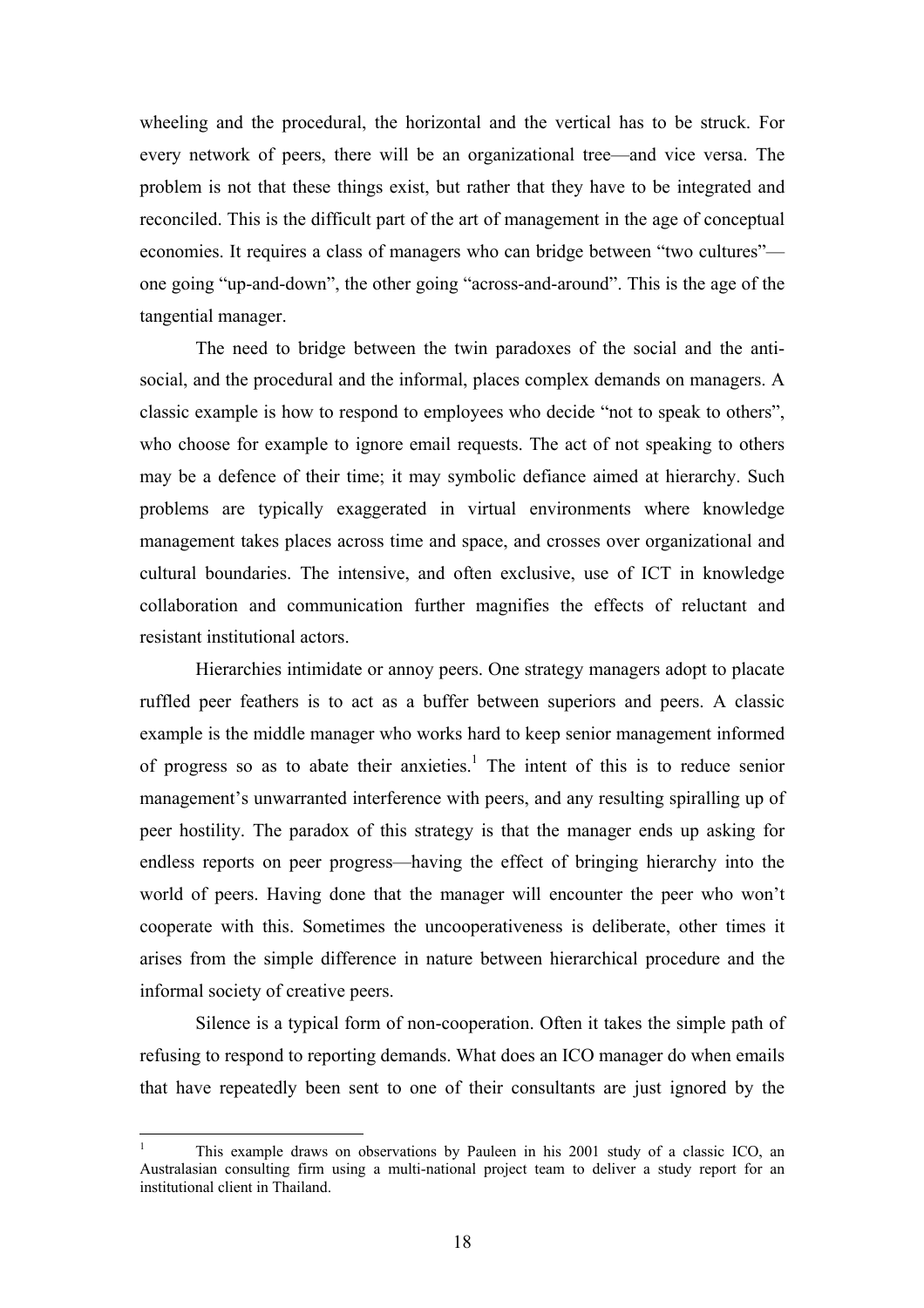wheeling and the procedural, the horizontal and the vertical has to be struck. For every network of peers, there will be an organizational tree—and vice versa. The problem is not that these things exist, but rather that they have to be integrated and reconciled. This is the difficult part of the art of management in the age of conceptual economies. It requires a class of managers who can bridge between "two cultures" one going "up-and-down", the other going "across-and-around". This is the age of the tangential manager.

The need to bridge between the twin paradoxes of the social and the antisocial, and the procedural and the informal, places complex demands on managers. A classic example is how to respond to employees who decide "not to speak to others", who choose for example to ignore email requests. The act of not speaking to others may be a defence of their time; it may symbolic defiance aimed at hierarchy. Such problems are typically exaggerated in virtual environments where knowledge management takes places across time and space, and crosses over organizational and cultural boundaries. The intensive, and often exclusive, use of ICT in knowledge collaboration and communication further magnifies the effects of reluctant and resistant institutional actors.

Hierarchies intimidate or annoy peers. One strategy managers adopt to placate ruffled peer feathers is to act as a buffer between superiors and peers. A classic example is the middle manager who works hard to keep senior management informed of progress so as to abate their anxieties.<sup>[1](#page-17-0)</sup> The intent of this is to reduce senior management's unwarranted interference with peers, and any resulting spiralling up of peer hostility. The paradox of this strategy is that the manager ends up asking for endless reports on peer progress—having the effect of bringing hierarchy into the world of peers. Having done that the manager will encounter the peer who won't cooperate with this. Sometimes the uncooperativeness is deliberate, other times it arises from the simple difference in nature between hierarchical procedure and the informal society of creative peers.

Silence is a typical form of non-cooperation. Often it takes the simple path of refusing to respond to reporting demands. What does an ICO manager do when emails that have repeatedly been sent to one of their consultants are just ignored by the

 $\overline{a}$ 

<span id="page-17-0"></span><sup>1</sup> This example draws on observations by Pauleen in his 2001 study of a classic ICO, an Australasian consulting firm using a multi-national project team to deliver a study report for an institutional client in Thailand.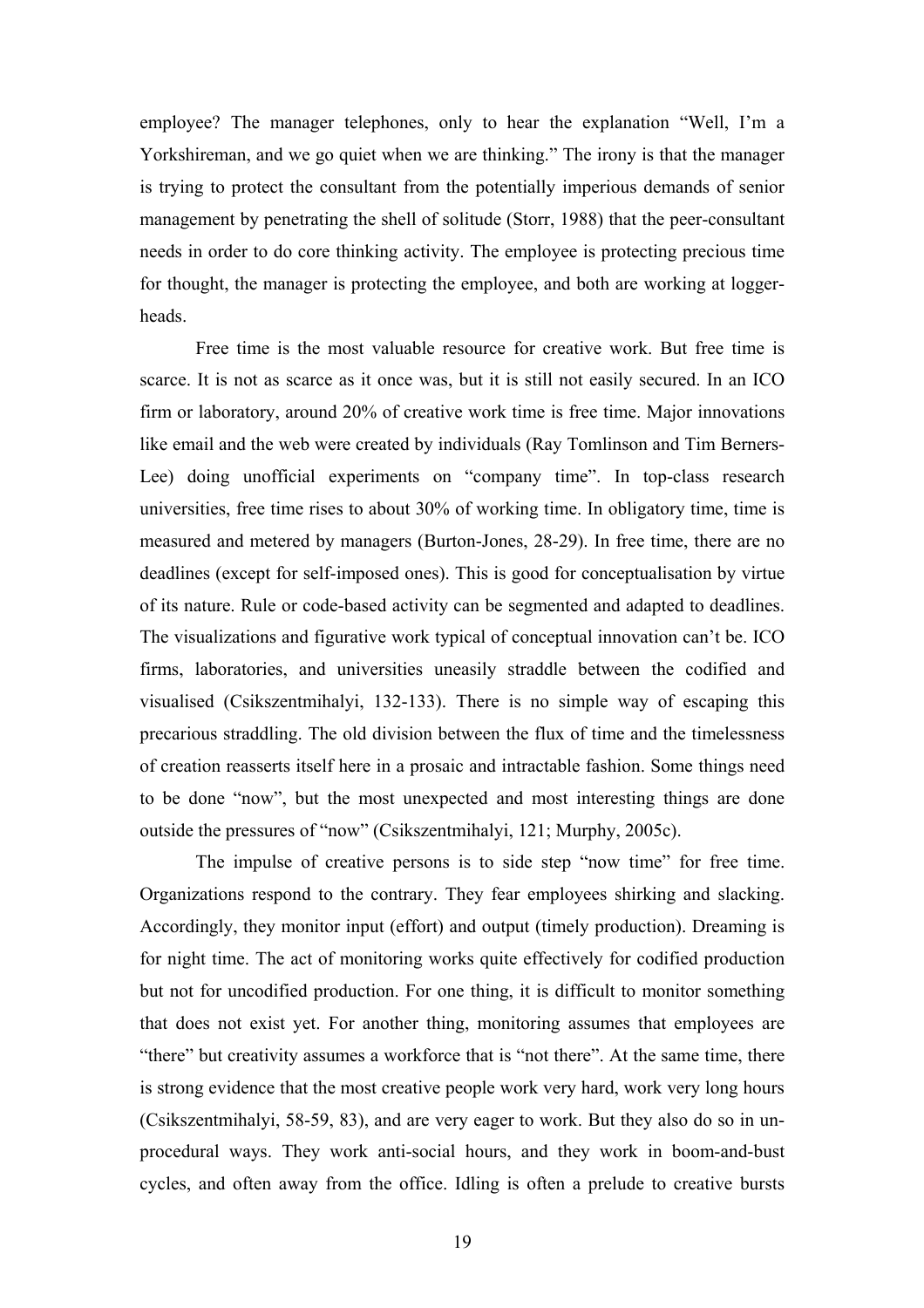employee? The manager telephones, only to hear the explanation "Well, I'm a Yorkshireman, and we go quiet when we are thinking." The irony is that the manager is trying to protect the consultant from the potentially imperious demands of senior management by penetrating the shell of solitude (Storr, 1988) that the peer-consultant needs in order to do core thinking activity. The employee is protecting precious time for thought, the manager is protecting the employee, and both are working at loggerheads.

Free time is the most valuable resource for creative work. But free time is scarce. It is not as scarce as it once was, but it is still not easily secured. In an ICO firm or laboratory, around 20% of creative work time is free time. Major innovations like email and the web were created by individuals (Ray Tomlinson and Tim Berners-Lee) doing unofficial experiments on "company time". In top-class research universities, free time rises to about 30% of working time. In obligatory time, time is measured and metered by managers (Burton-Jones, 28-29). In free time, there are no deadlines (except for self-imposed ones). This is good for conceptualisation by virtue of its nature. Rule or code-based activity can be segmented and adapted to deadlines. The visualizations and figurative work typical of conceptual innovation can't be. ICO firms, laboratories, and universities uneasily straddle between the codified and visualised (Csikszentmihalyi, 132-133). There is no simple way of escaping this precarious straddling. The old division between the flux of time and the timelessness of creation reasserts itself here in a prosaic and intractable fashion. Some things need to be done "now", but the most unexpected and most interesting things are done outside the pressures of "now" (Csikszentmihalyi, 121; Murphy, 2005c).

The impulse of creative persons is to side step "now time" for free time. Organizations respond to the contrary. They fear employees shirking and slacking. Accordingly, they monitor input (effort) and output (timely production). Dreaming is for night time. The act of monitoring works quite effectively for codified production but not for uncodified production. For one thing, it is difficult to monitor something that does not exist yet. For another thing, monitoring assumes that employees are "there" but creativity assumes a workforce that is "not there". At the same time, there is strong evidence that the most creative people work very hard, work very long hours (Csikszentmihalyi, 58-59, 83), and are very eager to work. But they also do so in unprocedural ways. They work anti-social hours, and they work in boom-and-bust cycles, and often away from the office. Idling is often a prelude to creative bursts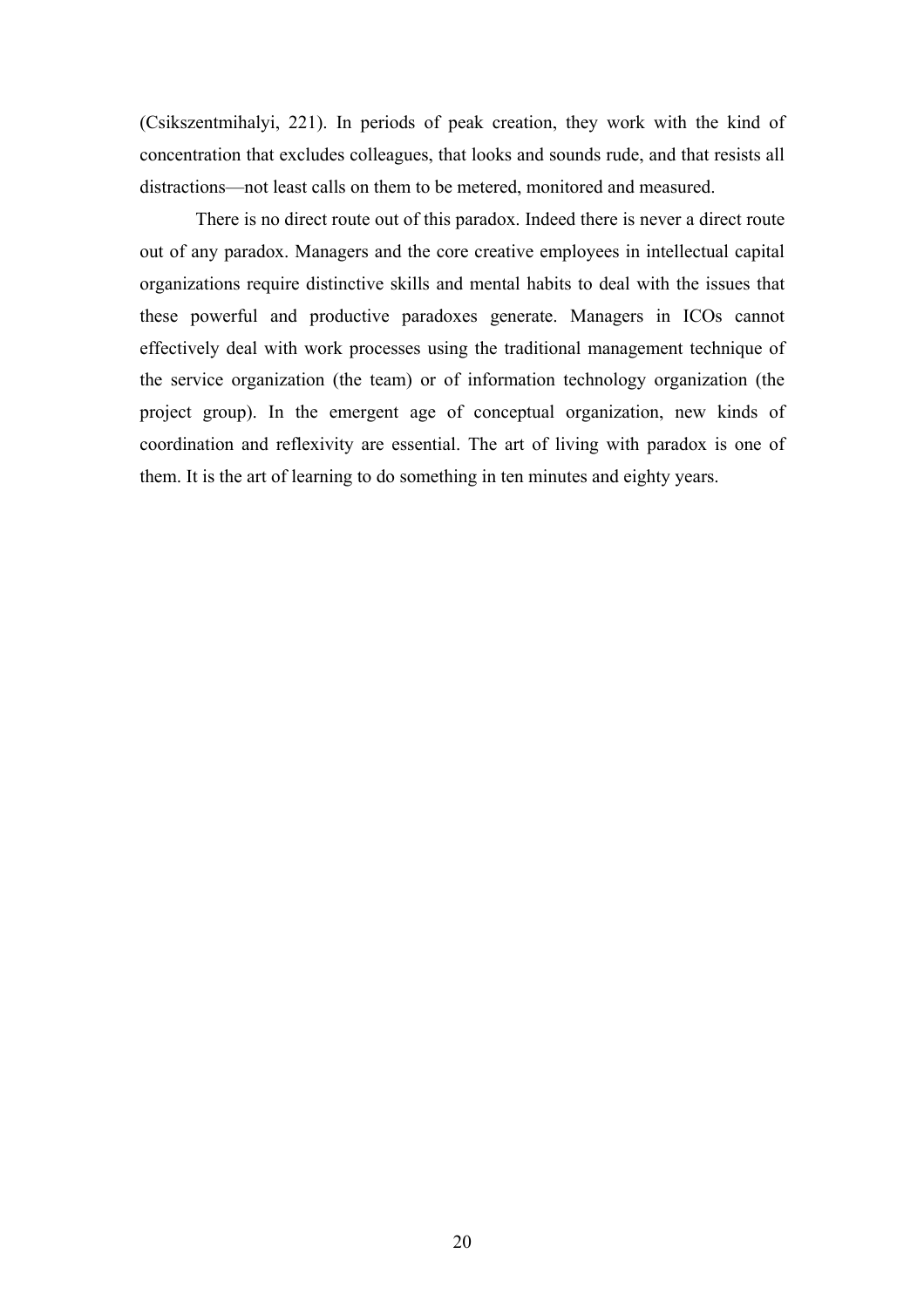(Csikszentmihalyi, 221). In periods of peak creation, they work with the kind of concentration that excludes colleagues, that looks and sounds rude, and that resists all distractions—not least calls on them to be metered, monitored and measured.

There is no direct route out of this paradox. Indeed there is never a direct route out of any paradox. Managers and the core creative employees in intellectual capital organizations require distinctive skills and mental habits to deal with the issues that these powerful and productive paradoxes generate. Managers in ICOs cannot effectively deal with work processes using the traditional management technique of the service organization (the team) or of information technology organization (the project group). In the emergent age of conceptual organization, new kinds of coordination and reflexivity are essential. The art of living with paradox is one of them. It is the art of learning to do something in ten minutes and eighty years.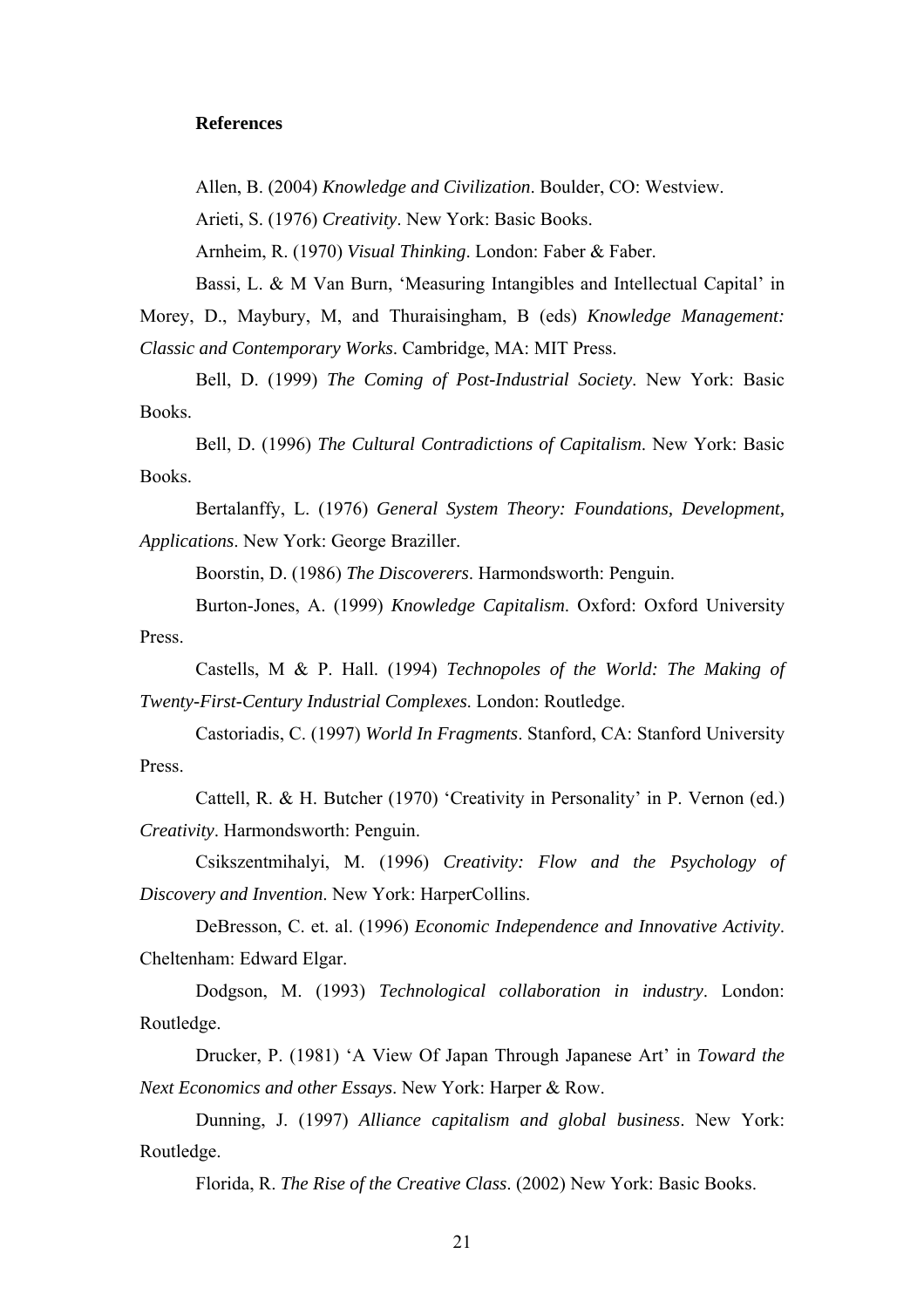# **References**

Allen, B. (2004) *Knowledge and Civilization*. Boulder, CO: Westview.

Arieti, S. (1976) *Creativity*. New York: Basic Books.

Arnheim, R. (1970) *Visual Thinking*. London: Faber & Faber.

Bassi, L. & M Van Burn, 'Measuring Intangibles and Intellectual Capital' in Morey, D., Maybury, M, and Thuraisingham, B (eds) *Knowledge Management: Classic and Contemporary Works*. Cambridge, MA: MIT Press.

Bell, D. (1999) *The Coming of Post-Industrial Society*. New York: Basic Books.

Bell, D. (1996) *The Cultural Contradictions of Capitalism*. New York: Basic Books.

Bertalanffy, L. (1976) *General System Theory: Foundations, Development, Applications*. New York: George Braziller.

Boorstin, D. (1986) *The Discoverers*. Harmondsworth: Penguin.

Burton-Jones, A. (1999) *Knowledge Capitalism*. Oxford: Oxford University Press.

Castells, M & P. Hall. (1994) *Technopoles of the World: The Making of Twenty-First-Century Industrial Complexes*. London: Routledge.

Castoriadis, C. (1997) *World In Fragments*. Stanford, CA: Stanford University Press.

Cattell, R. & H. Butcher (1970) 'Creativity in Personality' in P. Vernon (ed.) *Creativity*. Harmondsworth: Penguin.

Csikszentmihalyi, M. (1996) *Creativity: Flow and the Psychology of Discovery and Invention*. New York: HarperCollins.

DeBresson, C. et. al. (1996) *Economic Independence and Innovative Activity*. Cheltenham: Edward Elgar.

Dodgson, M. (1993) *Technological collaboration in industry*. London: Routledge.

Drucker, P. (1981) 'A View Of Japan Through Japanese Art' in *Toward the Next Economics and other Essays*. New York: Harper & Row.

Dunning, J. (1997) *Alliance capitalism and global business*. New York: Routledge.

Florida, R. *The Rise of the Creative Class*. (2002) New York: Basic Books.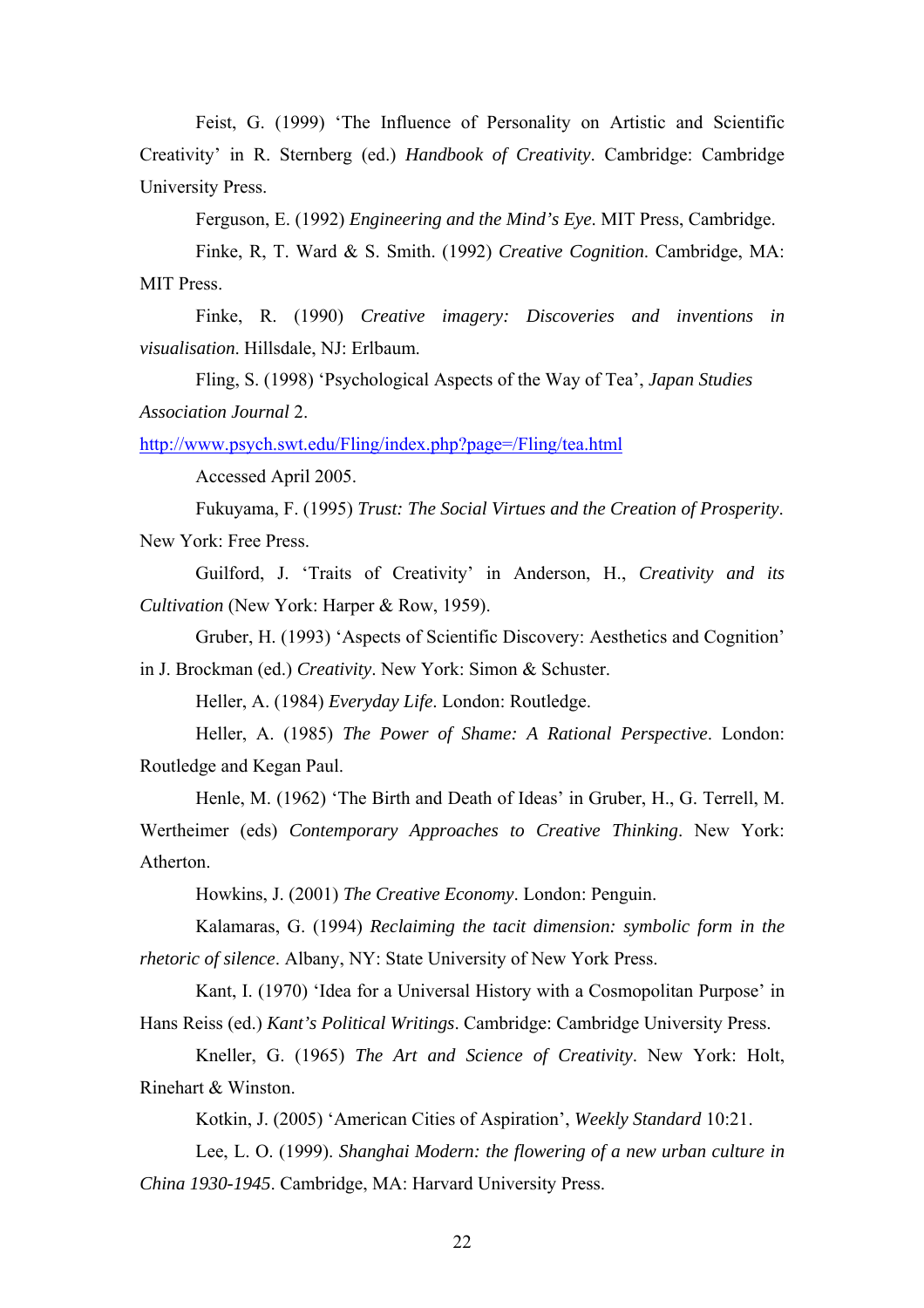Feist, G. (1999) 'The Influence of Personality on Artistic and Scientific Creativity' in R. Sternberg (ed.) *Handbook of Creativity*. Cambridge: Cambridge University Press.

Ferguson, E. (1992) *Engineering and the Mind's Eye*. MIT Press, Cambridge.

Finke, R, T. Ward & S. Smith. (1992) *Creative Cognition*. Cambridge, MA: MIT Press.

Finke, R. (1990) *Creative imagery: Discoveries and inventions in visualisation*. Hillsdale, NJ: Erlbaum.

Fling, S. (1998) 'Psychological Aspects of the Way of Tea', *Japan Studies Association Journal* 2.

<http://www.psych.swt.edu/Fling/index.php?page=/Fling/tea.html>

Accessed April 2005.

Fukuyama, F. (1995) *Trust: The Social Virtues and the Creation of Prosperity*. New York: Free Press.

Guilford, J. 'Traits of Creativity' in Anderson, H., *Creativity and its Cultivation* (New York: Harper & Row, 1959).

Gruber, H. (1993) 'Aspects of Scientific Discovery: Aesthetics and Cognition' in J. Brockman (ed.) *Creativity*. New York: Simon & Schuster.

Heller, A. (1984) *Everyday Life*. London: Routledge.

Heller, A. (1985) *The Power of Shame: A Rational Perspective*. London: Routledge and Kegan Paul.

Henle, M. (1962) 'The Birth and Death of Ideas' in Gruber, H., G. Terrell, M. Wertheimer (eds) *Contemporary Approaches to Creative Thinking*. New York: Atherton.

Howkins, J. (2001) *The Creative Economy*. London: Penguin.

Kalamaras, G. (1994) *Reclaiming the tacit dimension: symbolic form in the rhetoric of silence*. Albany, NY: State University of New York Press.

Kant, I. (1970) 'Idea for a Universal History with a Cosmopolitan Purpose' in Hans Reiss (ed.) *Kant's Political Writings*. Cambridge: Cambridge University Press.

Kneller, G. (1965) *The Art and Science of Creativity*. New York: Holt, Rinehart & Winston.

Kotkin, J. (2005) 'American Cities of Aspiration', *Weekly Standard* 10:21.

Lee, L. O. (1999). *Shanghai Modern: the flowering of a new urban culture in China 1930-1945*. Cambridge, MA: Harvard University Press.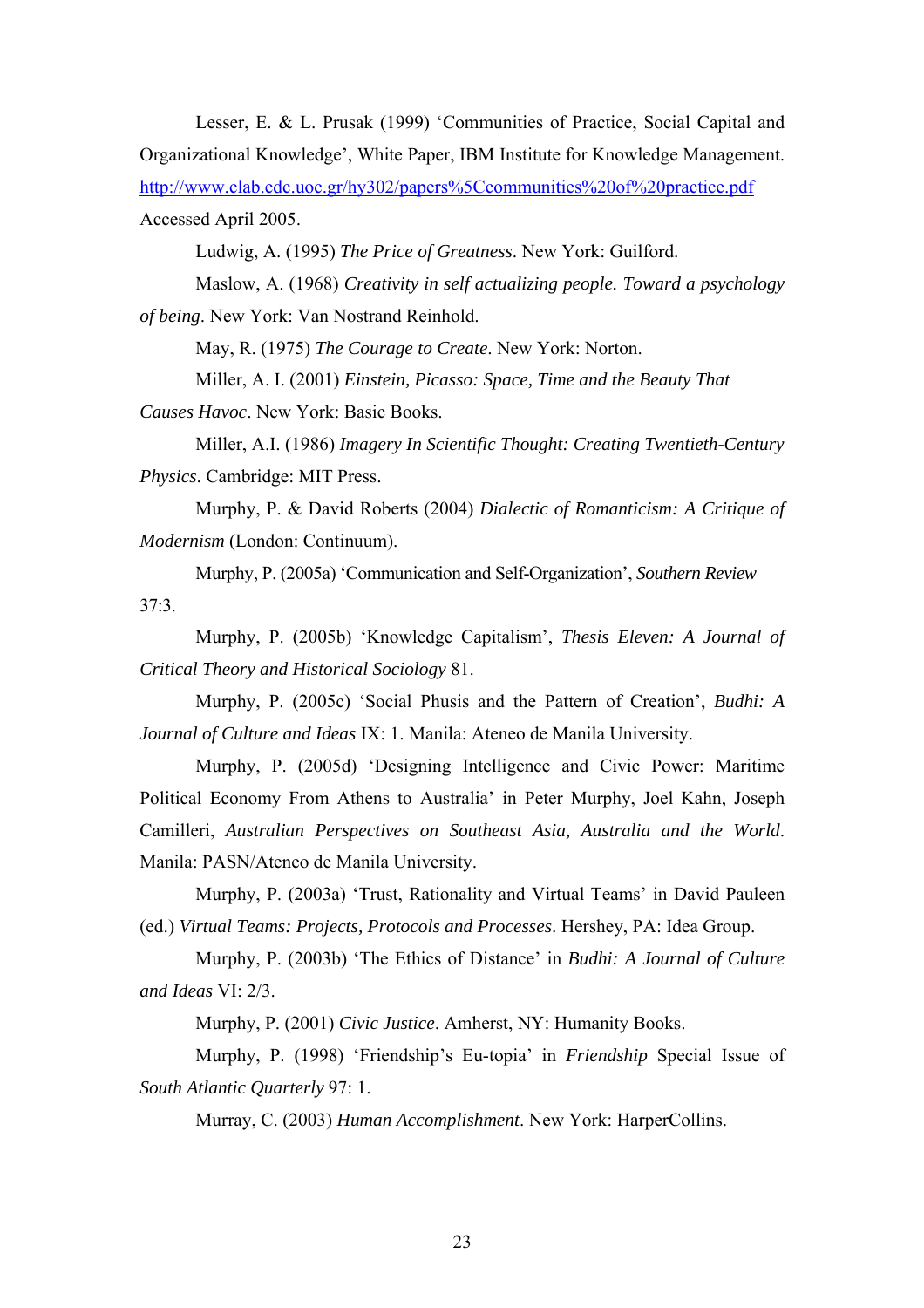Lesser, E. & L. Prusak (1999) 'Communities of Practice, Social Capital and Organizational Knowledge', White Paper, IBM Institute for Knowledge Management. [http://www.clab.edc.uoc.gr/hy302/papers%5Ccommunities%20of%20practice.pdf](http://www.clab.edc.uoc.gr/hy302/papers/communities of practice.pdf) Accessed April 2005.

Ludwig, A. (1995) *The Price of Greatness*. New York: Guilford.

Maslow, A. (1968) *Creativity in self actualizing people. Toward a psychology of being*. New York: Van Nostrand Reinhold.

May, R. (1975) *The Courage to Create*. New York: Norton.

Miller, A. I. (2001) *Einstein, Picasso: Space, Time and the Beauty That* 

*Causes Havoc*. New York: Basic Books.

Miller, A.I. (1986) *Imagery In Scientific Thought: Creating Twentieth-Century Physics*. Cambridge: MIT Press.

Murphy, P. & David Roberts (2004) *Dialectic of Romanticism: A Critique of Modernism* (London: Continuum).

Murphy, P. (2005a) 'Communication and Self-Organization', *Southern Review* 37:3.

Murphy, P. (2005b) 'Knowledge Capitalism', *Thesis Eleven: A Journal of Critical Theory and Historical Sociology* 81.

Murphy, P. (2005c) 'Social Phusis and the Pattern of Creation', *Budhi: A Journal of Culture and Ideas* IX: 1. Manila: Ateneo de Manila University.

Murphy, P. (2005d) 'Designing Intelligence and Civic Power: Maritime Political Economy From Athens to Australia' in Peter Murphy, Joel Kahn, Joseph Camilleri, *Australian Perspectives on Southeast Asia, Australia and the World*. Manila: PASN/Ateneo de Manila University.

Murphy, P. (2003a) 'Trust, Rationality and Virtual Teams' in David Pauleen (ed.) *Virtual Teams: Projects, Protocols and Processes*. Hershey, PA: Idea Group.

Murphy, P. (2003b) 'The Ethics of Distance' in *Budhi: A Journal of Culture and Ideas* VI: 2/3.

Murphy, P. (2001) *Civic Justice*. Amherst, NY: Humanity Books.

Murphy, P. (1998) 'Friendship's Eu-topia' in *Friendship* Special Issue of *South Atlantic Quarterly* 97: 1.

Murray, C. (2003) *Human Accomplishment*. New York: HarperCollins.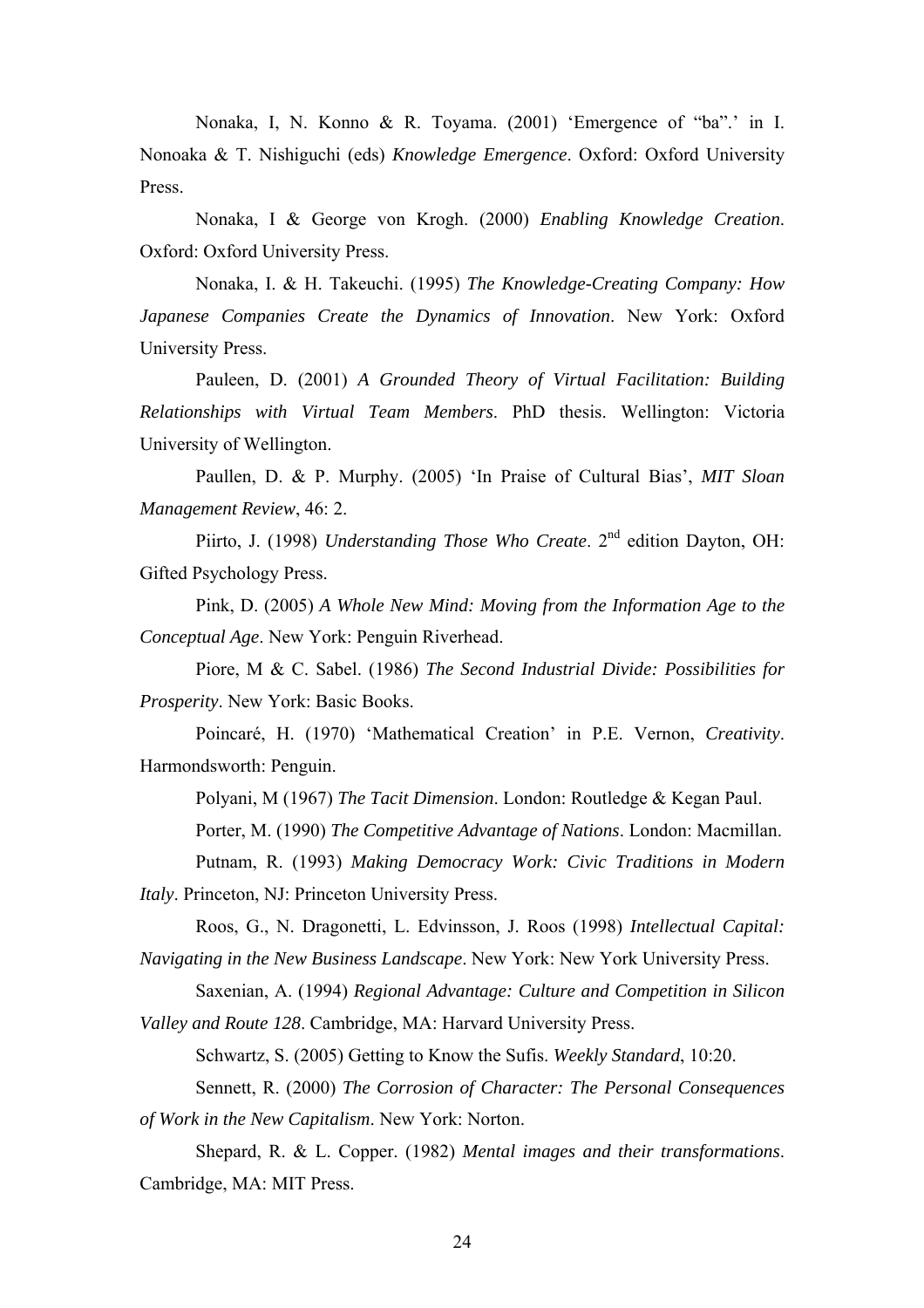Nonaka, I, N. Konno & R. Toyama. (2001) 'Emergence of "ba".' in I. Nonoaka & T. Nishiguchi (eds) *Knowledge Emergence*. Oxford: Oxford University Press.

Nonaka, I & George von Krogh. (2000) *Enabling Knowledge Creation*. Oxford: Oxford University Press.

Nonaka, I. & H. Takeuchi. (1995) *The Knowledge-Creating Company: How Japanese Companies Create the Dynamics of Innovation*. New York: Oxford University Press.

Pauleen, D. (2001) *A Grounded Theory of Virtual Facilitation: Building Relationships with Virtual Team Members*. PhD thesis. Wellington: Victoria University of Wellington.

Paullen, D. & P. Murphy. (2005) 'In Praise of Cultural Bias', *MIT Sloan Management Review*, 46: 2.

Piirto, J. (1998) *Understanding Those Who Create*. 2<sup>nd</sup> edition Dayton, OH: Gifted Psychology Press.

Pink, D. (2005) *A Whole New Mind: Moving from the Information Age to the Conceptual Age*. New York: Penguin Riverhead.

Piore, M & C. Sabel. (1986) *The Second Industrial Divide: Possibilities for Prosperity*. New York: Basic Books.

Poincaré, H. (1970) 'Mathematical Creation' in P.E. Vernon, *Creativity*. Harmondsworth: Penguin.

Polyani, M (1967) *The Tacit Dimension*. London: Routledge & Kegan Paul.

Porter, M. (1990) *The Competitive Advantage of Nations*. London: Macmillan.

Putnam, R. (1993) *Making Democracy Work: Civic Traditions in Modern Italy*. Princeton, NJ: Princeton University Press.

Roos, G., N. Dragonetti, L. Edvinsson, J. Roos (1998) *Intellectual Capital: Navigating in the New Business Landscape*. New York: New York University Press.

Saxenian, A. (1994) *Regional Advantage: Culture and Competition in Silicon* 

*Valley and Route 128*. Cambridge, MA: Harvard University Press.

Schwartz, S. (2005) Getting to Know the Sufis. *Weekly Standard*, 10:20.

Sennett, R. (2000) *The Corrosion of Character: The Personal Consequences of Work in the New Capitalism*. New York: Norton.

Shepard, R. & L. Copper. (1982) *Mental images and their transformations*. Cambridge, MA: MIT Press.